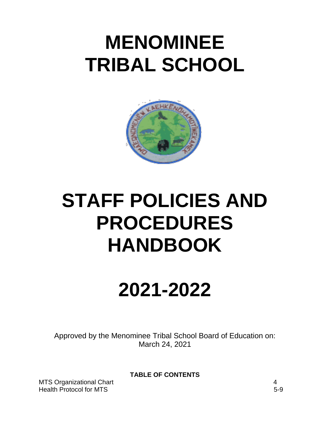# **MENOMINEE TRIBAL SCHOOL**



# **STAFF POLICIES AND PROCEDURES HANDBOOK**

# **2021-2022**

Approved by the Menominee Tribal School Board of Education on: March 24, 2021

**TABLE OF CONTENTS**

MTS Organizational Chart 4 Health Protocol for MTS 5-9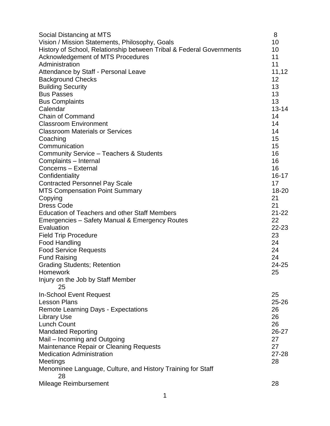| Social Distancing at MTS                                             | 8         |
|----------------------------------------------------------------------|-----------|
| Vision / Mission Statements, Philosophy, Goals                       | 10        |
| History of School, Relationship between Tribal & Federal Governments | 10        |
| <b>Acknowledgement of MTS Procedures</b>                             | 11        |
| Administration                                                       | 11        |
| Attendance by Staff - Personal Leave                                 | 11,12     |
| <b>Background Checks</b>                                             | 12        |
| <b>Building Security</b>                                             | 13        |
| <b>Bus Passes</b>                                                    | 13        |
| <b>Bus Complaints</b>                                                | 13        |
| Calendar                                                             | $13 - 14$ |
| <b>Chain of Command</b>                                              | 14        |
| <b>Classroom Environment</b>                                         | 14        |
| <b>Classroom Materials or Services</b>                               | 14        |
| Coaching                                                             | 15        |
| Communication                                                        | 15        |
| Community Service - Teachers & Students                              | 16        |
| Complaints - Internal                                                | 16        |
| Concerns - External                                                  | 16        |
| Confidentiality                                                      | $16 - 17$ |
| <b>Contracted Personnel Pay Scale</b>                                | 17        |
| <b>MTS Compensation Point Summary</b>                                | 18-20     |
| Copying                                                              | 21        |
| <b>Dress Code</b>                                                    | 21        |
| <b>Education of Teachers and other Staff Members</b>                 | $21 - 22$ |
| Emergencies - Safety Manual & Emergency Routes                       | 22        |
| Evaluation                                                           | 22-23     |
| <b>Field Trip Procedure</b>                                          | 23        |
| <b>Food Handling</b>                                                 | 24        |
| <b>Food Service Requests</b>                                         | 24        |
| <b>Fund Raising</b>                                                  | 24        |
| <b>Grading Students; Retention</b>                                   | 24-25     |
| Homework                                                             | 25        |
| Injury on the Job by Staff Member                                    |           |
| 25                                                                   |           |
| In-School Event Request                                              | 25        |
| <b>Lesson Plans</b>                                                  | $25 - 26$ |
| <b>Remote Learning Days - Expectations</b>                           | 26        |
| <b>Library Use</b>                                                   | 26        |
| <b>Lunch Count</b>                                                   | 26        |
| <b>Mandated Reporting</b>                                            | 26-27     |
| Mail – Incoming and Outgoing                                         | 27        |
| Maintenance Repair or Cleaning Requests                              | 27        |
| <b>Medication Administration</b>                                     | $27 - 28$ |
| Meetings                                                             | 28        |
| Menominee Language, Culture, and History Training for Staff          |           |
| 28                                                                   |           |
| Mileage Reimbursement                                                | 28        |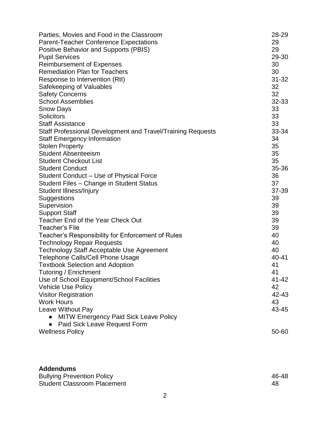| Parties, Movies and Food in the Classroom<br><b>Parent-Teacher Conference Expectations</b><br><b>Positive Behavior and Supports (PBIS)</b><br><b>Pupil Services</b><br><b>Reimbursement of Expenses</b><br><b>Remediation Plan for Teachers</b><br>Response to Intervention (RtI)<br>Safekeeping of Valuables<br><b>Safety Concerns</b><br><b>School Assemblies</b><br><b>Snow Days</b><br>Solicitors<br><b>Staff Assistance</b><br>Staff Professional Development and Travel/Training Requests | 28-29<br>29<br>29<br>29-30<br>30<br>30<br>$31 - 32$<br>32<br>32<br>32-33<br>33<br>33<br>33<br>33-34 |
|-------------------------------------------------------------------------------------------------------------------------------------------------------------------------------------------------------------------------------------------------------------------------------------------------------------------------------------------------------------------------------------------------------------------------------------------------------------------------------------------------|-----------------------------------------------------------------------------------------------------|
| <b>Staff Emergency Information</b>                                                                                                                                                                                                                                                                                                                                                                                                                                                              | 34                                                                                                  |
| <b>Stolen Property</b>                                                                                                                                                                                                                                                                                                                                                                                                                                                                          | 35                                                                                                  |
| <b>Student Absenteeism</b><br><b>Student Checkout List</b>                                                                                                                                                                                                                                                                                                                                                                                                                                      | 35<br>35                                                                                            |
| <b>Student Conduct</b>                                                                                                                                                                                                                                                                                                                                                                                                                                                                          | 35-36                                                                                               |
| Student Conduct - Use of Physical Force                                                                                                                                                                                                                                                                                                                                                                                                                                                         | 36                                                                                                  |
| Student Files - Change in Student Status                                                                                                                                                                                                                                                                                                                                                                                                                                                        | 37                                                                                                  |
| Student Illness/Injury                                                                                                                                                                                                                                                                                                                                                                                                                                                                          | 37-39                                                                                               |
| Suggestions                                                                                                                                                                                                                                                                                                                                                                                                                                                                                     | 39                                                                                                  |
| Supervision                                                                                                                                                                                                                                                                                                                                                                                                                                                                                     | 39                                                                                                  |
| <b>Support Staff</b>                                                                                                                                                                                                                                                                                                                                                                                                                                                                            | 39                                                                                                  |
| Teacher End of the Year Check Out                                                                                                                                                                                                                                                                                                                                                                                                                                                               | 39                                                                                                  |
| <b>Teacher's File</b>                                                                                                                                                                                                                                                                                                                                                                                                                                                                           | 39                                                                                                  |
| Teacher's Responsibility for Enforcement of Rules                                                                                                                                                                                                                                                                                                                                                                                                                                               | 40                                                                                                  |
| <b>Technology Repair Requests</b>                                                                                                                                                                                                                                                                                                                                                                                                                                                               | 40                                                                                                  |
| <b>Technology Staff Acceptable Use Agreement</b>                                                                                                                                                                                                                                                                                                                                                                                                                                                | 40                                                                                                  |
| <b>Telephone Calls/Cell Phone Usage</b>                                                                                                                                                                                                                                                                                                                                                                                                                                                         | 40-41                                                                                               |
| <b>Textbook Selection and Adoption</b>                                                                                                                                                                                                                                                                                                                                                                                                                                                          | 41                                                                                                  |
| Tutoring / Enrichment                                                                                                                                                                                                                                                                                                                                                                                                                                                                           | 41                                                                                                  |
| Use of School Equipment/School Facilities                                                                                                                                                                                                                                                                                                                                                                                                                                                       | 41-42                                                                                               |
| <b>Vehicle Use Policy</b>                                                                                                                                                                                                                                                                                                                                                                                                                                                                       | 42                                                                                                  |
| <b>Visitor Registration</b>                                                                                                                                                                                                                                                                                                                                                                                                                                                                     | 42-43                                                                                               |
| <b>Work Hours</b>                                                                                                                                                                                                                                                                                                                                                                                                                                                                               | 43                                                                                                  |
| Leave Without Pay<br><b>MITW Emergency Paid Sick Leave Policy</b>                                                                                                                                                                                                                                                                                                                                                                                                                               | 43-45                                                                                               |
| Paid Sick Leave Request Form                                                                                                                                                                                                                                                                                                                                                                                                                                                                    |                                                                                                     |
| <b>Wellness Policy</b>                                                                                                                                                                                                                                                                                                                                                                                                                                                                          | 50-60                                                                                               |
|                                                                                                                                                                                                                                                                                                                                                                                                                                                                                                 |                                                                                                     |

| <b>Addendums</b>                   |       |
|------------------------------------|-------|
| <b>Bullying Prevention Policy</b>  | 46-48 |
| <b>Student Classroom Placement</b> | 48    |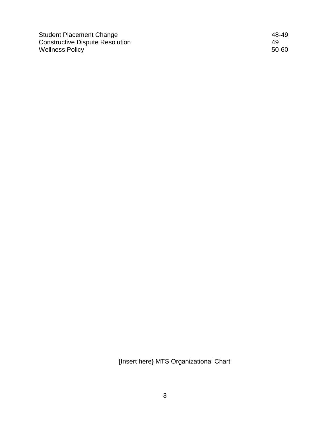Student Placement Change 48-49 Constructive Dispute Resolution 49 Wellness Policy 50-60

[Insert here} MTS Organizational Chart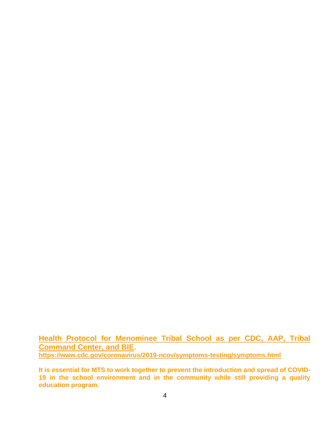**Health Protocol for Menominee Tribal School as per CDC, AAP, Tribal Command Center, and BIE. <https://www.cdc.gov/coronavirus/2019-ncov/symptoms-testing/symptoms.html>**

**It is essential for MTS to work together to prevent the introduction and spread of COVID-19 in the school environment and in the community while still providing a quality education program.**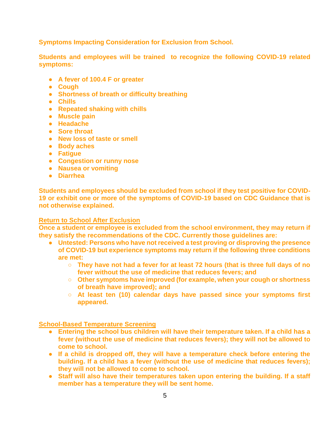**Symptoms Impacting Consideration for Exclusion from School.**

**Students and employees will be trained to recognize the following COVID-19 related symptoms:**

- **A fever of 100.4 F or greater**
- **Cough**
- **Shortness of breath or difficulty breathing**
- **Chills**
- **Repeated shaking with chills**
- **Muscle pain**
- **Headache**
- **Sore throat**
- **New loss of taste or smell**
- **Body aches**
- **Fatigue**
- **Congestion or runny nose**
- **Nausea or vomiting**
- **Diarrhea**

**Students and employees should be excluded from school if they test positive for COVID-19 or exhibit one or more of the symptoms of COVID-19 based on CDC Guidance that is not otherwise explained.** 

#### **Return to School After Exclusion**

**Once a student or employee is excluded from the school environment, they may return if they satisfy the recommendations of the CDC. Currently those guidelines are:**

- **Untested: Persons who have not received a test proving or disproving the presence of COVID-19 but experience symptoms may return if the following three conditions are met:**
	- **They have not had a fever for at least 72 hours (that is three full days of no fever without the use of medicine that reduces fevers; and**
	- **Other symptoms have improved (for example, when your cough or shortness of breath have improved); and**
	- **At least ten (10) calendar days have passed since your symptoms first appeared.**

#### **School-Based Temperature Screening**

- **Entering the school bus children will have their temperature taken. If a child has a fever (without the use of medicine that reduces fevers); they will not be allowed to come to school.**
- **If a child is dropped off, they will have a temperature check before entering the building. If a child has a fever (without the use of medicine that reduces fevers); they will not be allowed to come to school.**
- **Staff will also have their temperatures taken upon entering the building. If a staff member has a temperature they will be sent home.**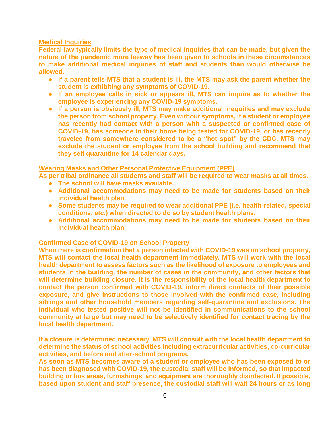#### **Medical Inquiries**

**Federal law typically limits the type of medical inquiries that can be made, but given the nature of the pandemic more leeway has been given to schools in these circumstances to make additional medical inquiries of staff and students than would otherwise be allowed.**

- **If a parent tells MTS that a student is ill, the MTS may ask the parent whether the student is exhibiting any symptoms of COVID-19.**
- **If an employee calls in sick or appears ill, MTS can inquire as to whether the employee is experiencing any COVID-19 symptoms.**
- **If a person is obviously ill, MTS may make additional inequities and may exclude the person from school property. Even without symptoms, if a student or employee has recently had contact with a person with a suspected or confirmed case of COVID-19, has someone in their home being tested for COVID-19, or has recently traveled from somewhere considered to be a "hot spot" by the CDC, MTS may exclude the student or employee from the school building and recommend that they self quarantine for 14 calendar days.**

#### **Wearing Masks and Other Personal Protective Equipment (PPE)**

- **As per tribal ordinance all students and staff will be required to wear masks at all times.**
	- **The school will have masks available.**
	- **Additional accommodations may need to be made for students based on their individual health plan.**
	- **Some students may be required to wear additional PPE (i.e. health-related, special conditions, etc.) when directed to do so by student health plans.**
	- **Additional accommodations may need to be made for students based on their individual health plan.**

#### **Confirmed Case of COVID-19 on School Property**

**When there is confirmation that a person infected with COVID-19 was on school property, MTS will contact the local health department immediately. MTS will work with the local health department to assess factors such as the likelihood of exposure to employees and students in the building, the number of cases in the community, and other factors that will determine building closure. It is the responsibility of the local health department to contact the person confirmed with COVID-19, inform direct contacts of their possible exposure, and give instructions to those involved with the confirmed case, including siblings and other household members regarding self-quarantine and exclusions. The individual who tested positive will not be identified in communications to the school community at large but may need to be selectively identified for contact tracing by the local health department.**

**If a closure is determined necessary, MTS will consult with the local health department to determine the status of school activities including extracurricular activities, co-curricular activities, and before and after-school programs.**

**As soon as MTS becomes aware of a student or employee who has been exposed to or has been diagnosed with COVID-19, the custodial staff will be informed, so that impacted building or bus areas, furnishings, and equipment are thoroughly disinfected. If possible, based upon student and staff presence, the custodial staff will wait 24 hours or as long**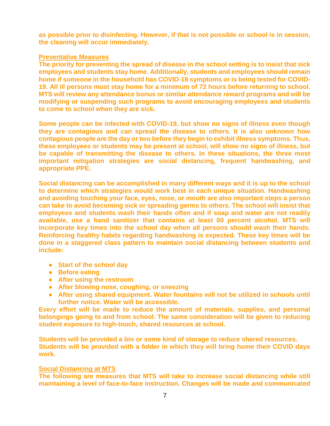**as possible prior to disinfecting. However, if that is not possible or school is in session, the cleaning will occur immediately.**

#### **Preventative Measures**

**The priority for preventing the spread of disease in the school setting is to insist that sick employees and students stay home. Additionally, students and employees should remain home if someone in the household has COVID-19 symptoms or is being tested for COVID-19. All ill persons must stay home for a minimum of 72 hours before returning to school. MTS will review any attendance bonus or similar attendance reward programs and will be modifying or suspending such programs to avoid encouraging employees and students to come to school when they are sick.**

**Some people can be infected with COVID-19, but show no signs of illness even though they are contagious and can spread the disease to others. It is also unknown how contagious people are the day or two before they begin to exhibit illness symptoms. Thus, these employees or students may be present at school, will show no signs of illness, but be capable of transmitting the disease to others. In these situations, the three most important mitigation strategies are social distancing, frequent handwashing, and appropriate PPE.**

**Social distancing can be accomplished in many different ways and it is up to the school to determine which strategies would work best in each unique situation. Handwashing and avoiding touching your face, eyes, nose, or mouth are also important steps a person can take to avoid becoming sick or spreading germs to others. The school will insist that employees and students wash their hands often and if soap and water are not readily available, use a hand sanitizer that contains at least 60 percent alcohol. MTS will incorporate key times into the school day when all persons should wash their hands. Reinforcing healthy habits regarding handwashing is expected. These key times will be done in a staggered class pattern to maintain social distancing between students and include:**

- **Start of the school day**
- **Before eating**
- **After using the restroom**
- **After blowing nose, coughing, or sneezing**
- **After using shared equipment. Water fountains will not be utilized in schools until further notice. Water will be accessible.**

**Every effort will be made to reduce the amount of materials, supplies, and personal belongings going to and from school. The same consideration will be given to reducing student exposure to high-touch, shared resources at school.**

**Students will be provided a bin or some kind of storage to reduce shared resources. Students will be provided with a folder in which they will bring home their COVID days work.**

#### **Social Distancing at MTS**

**The following are measures that MTS will take to increase social distancing while still maintaining a level of face-to-face instruction. Changes will be made and communicated**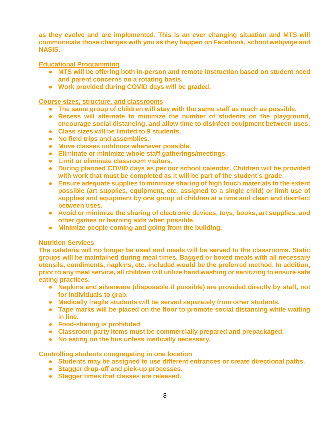**as they evolve and are implemented. This is an ever changing situation and MTS will communicate those changes with you as they happen on Facebook, school webpage and NASIS.**

#### **Educational Programming**

- **MTS will be offering both in-person and remote instruction based on student need and parent concerns on a rotating basis.**
- **Work provided during COVID days will be graded.**

#### **Course sizes, structure, and classrooms**

- **The same group of children will stay with the same staff as much as possible.**
- **Recess will alternate to minimize the number of students on the playground, encourage social distancing, and allow time to disinfect equipment between uses.**
- **Class sizes will be limited to 9 students.**
- **No field trips and assemblies.**
- **Move classes outdoors whenever possible.**
- **Eliminate or minimize whole staff gatherings/meetings.**
- **Limit or eliminate classroom visitors.**
- **During planned COVID days as per our school calendar. Children will be provided with work that must be completed as it will be part of the student's grade.**
- **Ensure adequate supplies to minimize sharing of high touch materials to the extent possible (art supplies, equipment, etc. assigned to a single child) or limit use of supplies and equipment by one group of children at a time and clean and disinfect between uses.**
- **Avoid or minimize the sharing of electronic devices, toys, books, art supplies, and other games or learning aids when possible.**
- **Minimize people coming and going from the building.**

#### **Nutrition Services**

**The cafeteria will no longer be used and meals will be served to the classrooms. Static groups will be maintained during meal times. Bagged or boxed meals with all necessary utensils, condiments, napkins, etc. included would be the preferred method. In addition, prior to any meal service, all children will utilize hand washing or sanitizing to ensure safe eating practices.**

- **Napkins and silverware (disposable if possible) are provided directly by staff, not for individuals to grab.**
- **Medically fragile students will be served separately from other students.**
- **Tape marks will be placed on the floor to promote social distancing while waiting in line.**
- **Food-sharing is prohibited**
- **Classroom party items must be commercially prepared and prepackaged.**
- **No eating on the bus unless medically necessary.**

#### **Controlling students congregating in one location**

- **Students may be assigned to use different entrances or create directional paths.**
- **Stagger drop-off and pick-up processes.**
- **Stagger times that classes are released.**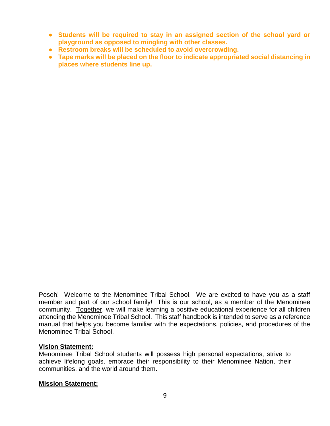- **Students will be required to stay in an assigned section of the school yard or playground as opposed to mingling with other classes.**
- **Restroom breaks will be scheduled to avoid overcrowding.**
- **Tape marks will be placed on the floor to indicate appropriated social distancing in places where students line up.**

Posoh! Welcome to the Menominee Tribal School. We are excited to have you as a staff member and part of our school family! This is our school, as a member of the Menominee community. Together, we will make learning a positive educational experience for all children attending the Menominee Tribal School. This staff handbook is intended to serve as a reference manual that helps you become familiar with the expectations, policies, and procedures of the Menominee Tribal School.

#### **Vision Statement:**

Menominee Tribal School students will possess high personal expectations, strive to achieve lifelong goals, embrace their responsibility to their Menominee Nation, their communities, and the world around them.

#### **Mission Statement:**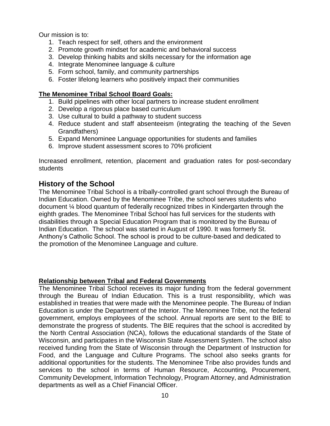Our mission is to:

- 1. Teach respect for self, others and the environment
- 2. Promote growth mindset for academic and behavioral success
- 3. Develop thinking habits and skills necessary for the information age
- 4. Integrate Menominee language & culture
- 5. Form school, family, and community partnerships
- 6. Foster lifelong learners who positively impact their communities

#### **The Menominee Tribal School Board Goals:**

- 1. Build pipelines with other local partners to increase student enrollment
- 2. Develop a rigorous place based curriculum
- 3. Use cultural to build a pathway to student success
- 4. Reduce student and staff absenteeism (integrating the teaching of the Seven Grandfathers)
- 5. Expand Menominee Language opportunities for students and families
- 6. Improve student assessment scores to 70% proficient

Increased enrollment, retention, placement and graduation rates for post-secondary students

## **History of the School**

The Menominee Tribal School is a tribally-controlled grant school through the Bureau of Indian Education. Owned by the Menominee Tribe, the school serves students who document ¼ blood quantum of federally recognized tribes in Kindergarten through the eighth grades. The Menominee Tribal School has full services for the students with disabilities through a Special Education Program that is monitored by the Bureau of Indian Education. The school was started in August of 1990. It was formerly St. Anthony's Catholic School. The school is proud to be culture-based and dedicated to the promotion of the Menominee Language and culture.

#### **Relationship between Tribal and Federal Governments**

The Menominee Tribal School receives its major funding from the federal government through the Bureau of Indian Education. This is a trust responsibility, which was established in treaties that were made with the Menominee people. The Bureau of Indian Education is under the Department of the Interior. The Menominee Tribe, not the federal government, employs employees of the school. Annual reports are sent to the BIE to demonstrate the progress of students. The BIE requires that the school is accredited by the North Central Association (NCA), follows the educational standards of the State of Wisconsin, and participates in the Wisconsin State Assessment System. The school also received funding from the State of Wisconsin through the Department of Instruction for Food, and the Language and Culture Programs. The school also seeks grants for additional opportunities for the students. The Menominee Tribe also provides funds and services to the school in terms of Human Resource, Accounting, Procurement, Community Development, Information Technology, Program Attorney, and Administration departments as well as a Chief Financial Officer.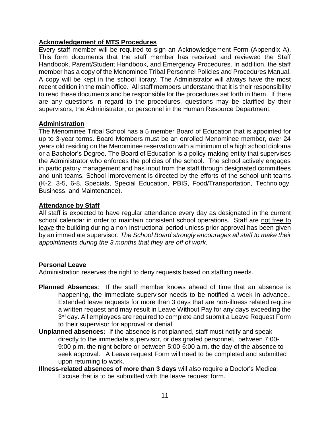## **Acknowledgement of MTS Procedures**

Every staff member will be required to sign an Acknowledgement Form (Appendix A). This form documents that the staff member has received and reviewed the Staff Handbook, Parent/Student Handbook, and Emergency Procedures. In addition, the staff member has a copy of the Menominee Tribal Personnel Policies and Procedures Manual. A copy will be kept in the school library. The Administrator will always have the most recent edition in the main office. All staff members understand that it is their responsibility to read these documents and be responsible for the procedures set forth in them. If there are any questions in regard to the procedures, questions may be clarified by their supervisors, the Administrator, or personnel in the Human Resource Department.

#### **Administration**

The Menominee Tribal School has a 5 member Board of Education that is appointed for up to 3-year terms. Board Members must be an enrolled Menominee member, over 24 years old residing on the Menominee reservation with a minimum of a high school diploma or a Bachelor's Degree. The Board of Education is a policy-making entity that supervises the Administrator who enforces the policies of the school. The school actively engages in participatory management and has input from the staff through designated committees and unit teams. School Improvement is directed by the efforts of the school unit teams (K-2, 3-5, 6-8, Specials, Special Education, PBIS, Food/Transportation, Technology, Business, and Maintenance).

## **Attendance by Staff**

All staff is expected to have regular attendance every day as designated in the current school calendar in order to maintain consistent school operations. Staff are not free to leave the building during a non-instructional period unless prior approval has been given by an immediate supervisor. *The School Board strongly encourages all staff to make their appointments during the 3 months that they are off of work.*

#### **Personal Leave**

Administration reserves the right to deny requests based on staffing needs.

- **Planned Absences**: If the staff member knows ahead of time that an absence is happening, the immediate supervisor needs to be notified a week in advance.. Extended leave requests for more than 3 days that are non-illness related require a written request and may result in Leave Without Pay for any days exceeding the 3<sup>rd</sup> day. All employees are required to complete and submit a Leave Request Form to their supervisor for approval or denial.
- **Unplanned absences:** If the absence is not planned, staff must notify and speak directly to the immediate supervisor, or designated personnel, between 7:00- 9:00 p.m. the night before or between 5:00-6:00 a.m. the day of the absence to seek approval. A Leave request Form will need to be completed and submitted upon returning to work.
- **Illness-related absences of more than 3 days** will also require a Doctor's Medical Excuse that is to be submitted with the leave request form.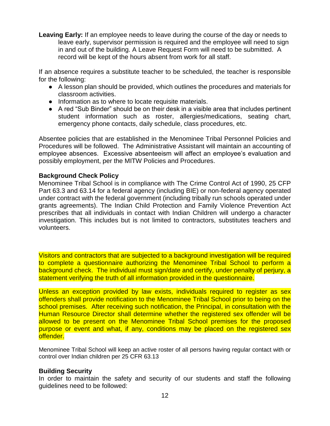**Leaving Early:** If an employee needs to leave during the course of the day or needs to leave early, supervisor permission is required and the employee will need to sign in and out of the building. A Leave Request Form will need to be submitted. A record will be kept of the hours absent from work for all staff.

If an absence requires a substitute teacher to be scheduled, the teacher is responsible for the following:

- A lesson plan should be provided, which outlines the procedures and materials for classroom activities.
- Information as to where to locate requisite materials.
- A red "Sub Binder" should be on their desk in a visible area that includes pertinent student information such as roster, allergies/medications, seating chart, emergency phone contacts, daily schedule, class procedures, etc.

Absentee policies that are established in the Menominee Tribal Personnel Policies and Procedures will be followed. The Administrative Assistant will maintain an accounting of employee absences. Excessive absenteeism will affect an employee's evaluation and possibly employment, per the MITW Policies and Procedures.

#### **Background Check Policy**

Menominee Tribal School is in compliance with The Crime Control Act of 1990, 25 CFP Part 63.3 and 63.14 for a federal agency (including BIE) or non-federal agency operated under contract with the federal government (including tribally run schools operated under grants agreements). The Indian Child Protection and Family Violence Prevention Act prescribes that all individuals in contact with Indian Children will undergo a character investigation. This includes but is not limited to contractors, substitutes teachers and volunteers.

Visitors and contractors that are subjected to a background investigation will be required to complete a questionnaire authorizing the Menominee Tribal School to perform a background check. The individual must sign/date and certify, under penalty of perjury, a statement verifying the truth of all information provided in the questionnaire.

Unless an exception provided by law exists, individuals required to register as sex offenders shall provide notification to the Menominee Tribal School prior to being on the school premises. After receiving such notification, the Principal, in consultation with the Human Resource Director shall determine whether the registered sex offender will be allowed to be present on the Menominee Tribal School premises for the proposed purpose or event and what, if any, conditions may be placed on the registered sex offender.

Menominee Tribal School will keep an active roster of all persons having regular contact with or control over Indian children per 25 CFR 63.13

#### **Building Security**

In order to maintain the safety and security of our students and staff the following guidelines need to be followed: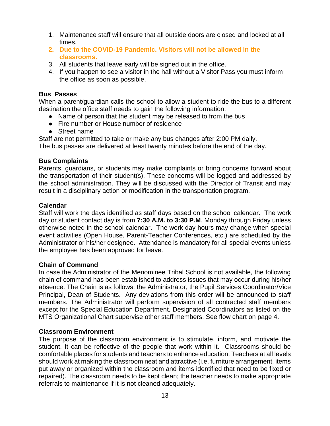- 1. Maintenance staff will ensure that all outside doors are closed and locked at all times.
- **2. Due to the COVID-19 Pandemic. Visitors will not be allowed in the classrooms.**
- 3. All students that leave early will be signed out in the office.
- 4. If you happen to see a visitor in the hall without a Visitor Pass you must inform the office as soon as possible.

#### **Bus Passes**

When a parent/guardian calls the school to allow a student to ride the bus to a different destination the office staff needs to gain the following information:

- Name of person that the student may be released to from the bus
- Fire number or House number of residence
- Street name

Staff are not permitted to take or make any bus changes after 2:00 PM daily.

The bus passes are delivered at least twenty minutes before the end of the day.

## **Bus Complaints**

Parents, guardians, or students may make complaints or bring concerns forward about the transportation of their student(s). These concerns will be logged and addressed by the school administration. They will be discussed with the Director of Transit and may result in a disciplinary action or modification in the transportation program.

#### **Calendar**

Staff will work the days identified as staff days based on the school calendar. The work day or student contact day is from **7:30 A.M. to 3:30 P.M**. Monday through Friday unless otherwise noted in the school calendar. The work day hours may change when special event activities (Open House, Parent-Teacher Conferences, etc.) are scheduled by the Administrator or his/her designee. Attendance is mandatory for all special events unless the employee has been approved for leave.

## **Chain of Command**

In case the Administrator of the Menominee Tribal School is not available, the following chain of command has been established to address issues that may occur during his/her absence. The Chain is as follows: the Administrator, the Pupil Services Coordinator/Vice Principal, Dean of Students. Any deviations from this order will be announced to staff members. The Administrator will perform supervision of all contracted staff members except for the Special Education Department. Designated Coordinators as listed on the MTS Organizational Chart supervise other staff members. See flow chart on page 4.

## **Classroom Environment**

The purpose of the classroom environment is to stimulate, inform, and motivate the student. It can be reflective of the people that work within it. Classrooms should be comfortable places for students and teachers to enhance education. Teachers at all levels should work at making the classroom neat and attractive (i.e. furniture arrangement, items put away or organized within the classroom and items identified that need to be fixed or repaired). The classroom needs to be kept clean; the teacher needs to make appropriate referrals to maintenance if it is not cleaned adequately.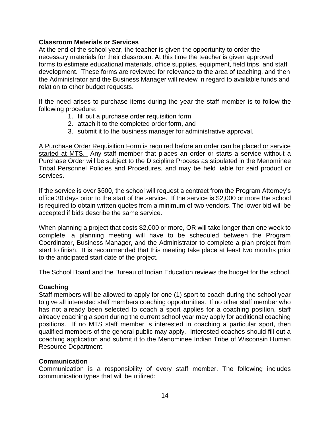#### **Classroom Materials or Services**

At the end of the school year, the teacher is given the opportunity to order the necessary materials for their classroom. At this time the teacher is given approved forms to estimate educational materials, office supplies, equipment, field trips, and staff development. These forms are reviewed for relevance to the area of teaching, and then the Administrator and the Business Manager will review in regard to available funds and relation to other budget requests.

If the need arises to purchase items during the year the staff member is to follow the following procedure:

- 1. fill out a purchase order requisition form,
- 2. attach it to the completed order form, and
- 3. submit it to the business manager for administrative approval.

A Purchase Order Requisition Form is required before an order can be placed or service started at MTS. Any staff member that places an order or starts a service without a Purchase Order will be subject to the Discipline Process as stipulated in the Menominee Tribal Personnel Policies and Procedures, and may be held liable for said product or services.

If the service is over \$500, the school will request a contract from the Program Attorney's office 30 days prior to the start of the service. If the service is \$2,000 or more the school is required to obtain written quotes from a minimum of two vendors. The lower bid will be accepted if bids describe the same service.

When planning a project that costs \$2,000 or more, OR will take longer than one week to complete, a planning meeting will have to be scheduled between the Program Coordinator, Business Manager, and the Administrator to complete a plan project from start to finish. It is recommended that this meeting take place at least two months prior to the anticipated start date of the project.

The School Board and the Bureau of Indian Education reviews the budget for the school.

#### **Coaching**

Staff members will be allowed to apply for one (1) sport to coach during the school year to give all interested staff members coaching opportunities. If no other staff member who has not already been selected to coach a sport applies for a coaching position, staff already coaching a sport during the current school year may apply for additional coaching positions. If no MTS staff member is interested in coaching a particular sport, then qualified members of the general public may apply. Interested coaches should fill out a coaching application and submit it to the Menominee Indian Tribe of Wisconsin Human Resource Department.

#### **Communication**

Communication is a responsibility of every staff member. The following includes communication types that will be utilized: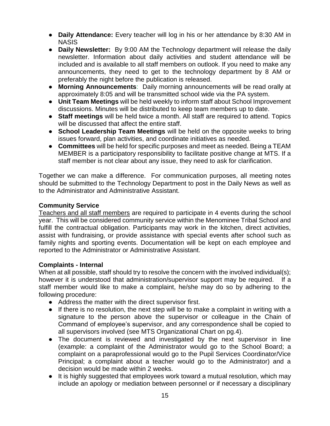- **Daily Attendance:** Every teacher will log in his or her attendance by 8:30 AM in **NASIS**
- **Daily Newsletter:** By 9:00 AM the Technology department will release the daily newsletter. Information about daily activities and student attendance will be included and is available to all staff members on outlook. If you need to make any announcements, they need to get to the technology department by 8 AM or preferably the night before the publication is released.
- **Morning Announcements**: Daily morning announcements will be read orally at approximately 8:05 and will be transmitted school wide via the PA system.
- **Unit Team Meetings** will be held weekly to inform staff about School Improvement discussions. Minutes will be distributed to keep team members up to date.
- **Staff meetings** will be held twice a month. All staff are required to attend. Topics will be discussed that affect the entire staff.
- **School Leadership Team Meetings** will be held on the opposite weeks to bring issues forward, plan activities, and coordinate initiatives as needed.
- **Committees** will be held for specific purposes and meet as needed. Being a TEAM MEMBER is a participatory responsibility to facilitate positive change at MTS. If a staff member is not clear about any issue, they need to ask for clarification.

Together we can make a difference. For communication purposes, all meeting notes should be submitted to the Technology Department to post in the Daily News as well as to the Administrator and Administrative Assistant.

## **Community Service**

Teachers and all staff members are required to participate in 4 events during the school year. This will be considered community service within the Menominee Tribal School and fulfill the contractual obligation. Participants may work in the kitchen, direct activities, assist with fundraising, or provide assistance with special events after school such as family nights and sporting events. Documentation will be kept on each employee and reported to the Administrator or Administrative Assistant.

#### **Complaints - Internal**

When at all possible, staff should try to resolve the concern with the involved individual(s); however it is understood that administration/supervisor support may be required. staff member would like to make a complaint, he/she may do so by adhering to the following procedure:

- Address the matter with the direct supervisor first.
- If there is no resolution, the next step will be to make a complaint in writing with a signature to the person above the supervisor or colleague in the Chain of Command of employee's supervisor, and any correspondence shall be copied to all supervisors involved (see MTS Organizational Chart on pg.4).
- The document is reviewed and investigated by the next supervisor in line (example: a complaint of the Administrator would go to the School Board; a complaint on a paraprofessional would go to the Pupil Services Coordinator/Vice Principal; a complaint about a teacher would go to the Administrator) and a decision would be made within 2 weeks.
- It is highly suggested that employees work toward a mutual resolution, which may include an apology or mediation between personnel or if necessary a disciplinary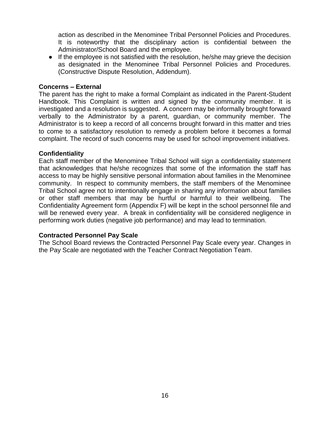action as described in the Menominee Tribal Personnel Policies and Procedures. It is noteworthy that the disciplinary action is confidential between the Administrator/School Board and the employee.

• If the employee is not satisfied with the resolution, he/she may grieve the decision as designated in the Menominee Tribal Personnel Policies and Procedures. (Constructive Dispute Resolution, Addendum).

#### **Concerns – External**

The parent has the right to make a formal Complaint as indicated in the Parent-Student Handbook. This Complaint is written and signed by the community member. It is investigated and a resolution is suggested. A concern may be informally brought forward verbally to the Administrator by a parent, guardian, or community member. The Administrator is to keep a record of all concerns brought forward in this matter and tries to come to a satisfactory resolution to remedy a problem before it becomes a formal complaint. The record of such concerns may be used for school improvement initiatives.

#### **Confidentiality**

Each staff member of the Menominee Tribal School will sign a confidentiality statement that acknowledges that he/she recognizes that some of the information the staff has access to may be highly sensitive personal information about families in the Menominee community. In respect to community members, the staff members of the Menominee Tribal School agree not to intentionally engage in sharing any information about families or other staff members that may be hurtful or harmful to their wellbeing. The Confidentiality Agreement form (Appendix F) will be kept in the school personnel file and will be renewed every year. A break in confidentiality will be considered negligence in performing work duties (negative job performance) and may lead to termination.

#### **Contracted Personnel Pay Scale**

The School Board reviews the Contracted Personnel Pay Scale every year. Changes in the Pay Scale are negotiated with the Teacher Contract Negotiation Team.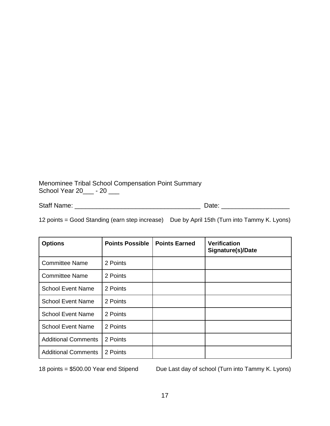Menominee Tribal School Compensation Point Summary School Year 20\_\_\_\_ - 20 \_\_\_

Staff Name: \_\_\_\_\_\_\_\_\_\_\_\_\_\_\_\_\_\_\_\_\_\_\_\_\_\_\_\_\_\_\_\_\_\_\_ Date: \_\_\_\_\_\_\_\_\_\_\_\_\_\_\_\_\_\_\_

12 points = Good Standing (earn step increase) Due by April 15th (Turn into Tammy K. Lyons)

| <b>Options</b>             | <b>Points Possible</b> | <b>Points Earned</b> | <b>Verification</b><br>Signature(s)/Date |
|----------------------------|------------------------|----------------------|------------------------------------------|
| <b>Committee Name</b>      | 2 Points               |                      |                                          |
| <b>Committee Name</b>      | 2 Points               |                      |                                          |
| <b>School Event Name</b>   | 2 Points               |                      |                                          |
| <b>School Event Name</b>   | 2 Points               |                      |                                          |
| <b>School Event Name</b>   | 2 Points               |                      |                                          |
| <b>School Event Name</b>   | 2 Points               |                      |                                          |
| <b>Additional Comments</b> | 2 Points               |                      |                                          |
| <b>Additional Comments</b> | 2 Points               |                      |                                          |

18 points = \$500.00 Year end Stipend Due Last day of school (Turn into Tammy K. Lyons)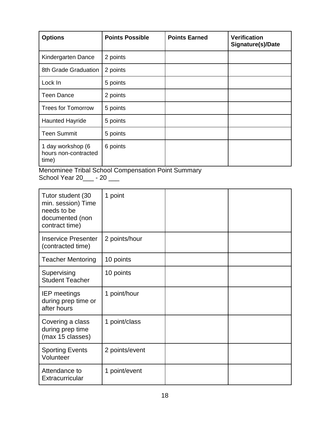| <b>Options</b>                                     | <b>Points Possible</b> | <b>Points Earned</b> | <b>Verification</b><br>Signature(s)/Date |
|----------------------------------------------------|------------------------|----------------------|------------------------------------------|
| Kindergarten Dance                                 | 2 points               |                      |                                          |
| 8th Grade Graduation                               | 2 points               |                      |                                          |
| Lock In                                            | 5 points               |                      |                                          |
| <b>Teen Dance</b>                                  | 2 points               |                      |                                          |
| <b>Trees for Tomorrow</b>                          | 5 points               |                      |                                          |
| <b>Haunted Hayride</b>                             | 5 points               |                      |                                          |
| <b>Teen Summit</b>                                 | 5 points               |                      |                                          |
| 1 day workshop (6<br>hours non-contracted<br>time) | 6 points               |                      |                                          |

Menominee Tribal School Compensation Point Summary School Year 20\_\_\_ - 20 \_\_\_

| Tutor student (30<br>min. session) Time<br>needs to be<br>documented (non<br>contract time) | 1 point        |  |
|---------------------------------------------------------------------------------------------|----------------|--|
| <b>Inservice Presenter</b><br>(contracted time)                                             | 2 points/hour  |  |
| <b>Teacher Mentoring</b>                                                                    | 10 points      |  |
| Supervising<br><b>Student Teacher</b>                                                       | 10 points      |  |
| <b>IEP</b> meetings<br>during prep time or<br>after hours                                   | 1 point/hour   |  |
| Covering a class<br>during prep time<br>(max 15 classes)                                    | 1 point/class  |  |
| <b>Sporting Events</b><br>Volunteer                                                         | 2 points/event |  |
| Attendance to<br>Extracurricular                                                            | 1 point/event  |  |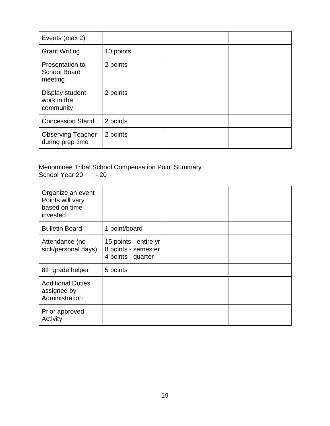| Events (max 2)                                    |           |  |
|---------------------------------------------------|-----------|--|
| <b>Grant Writing</b>                              | 10 points |  |
| Presentation to<br><b>School Board</b><br>meeting | 2 points  |  |
| Display student<br>work in the<br>community       | 2 points  |  |
| <b>Concession Stand</b>                           | 2 points  |  |
| <b>Observing Teacher</b><br>during prep time      | 2 points  |  |

Menominee Tribal School Compensation Point Summary School Year 20\_\_\_ - 20 \_\_\_

| Organize an event<br>Points will vary<br>based on time<br>invested |                                                                    |  |
|--------------------------------------------------------------------|--------------------------------------------------------------------|--|
| <b>Bulletin Board</b>                                              | 1 point/board                                                      |  |
| Attendance (no<br>sick/personal days)                              | 15 points - entire yr<br>8 points - semester<br>4 points - quarter |  |
| 8th grade helper                                                   | 5 points                                                           |  |
| <b>Additional Duties</b><br>assigned by<br>Administration          |                                                                    |  |
| Prior approved<br>Activity                                         |                                                                    |  |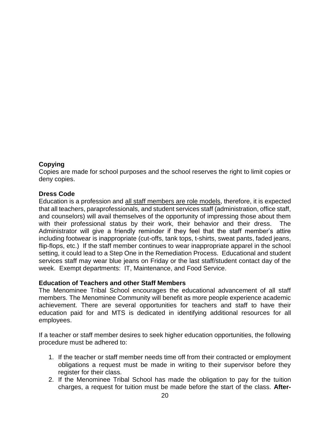## **Copying**

Copies are made for school purposes and the school reserves the right to limit copies or deny copies.

## **Dress Code**

Education is a profession and all staff members are role models, therefore, it is expected that all teachers, paraprofessionals, and student services staff (administration, office staff, and counselors) will avail themselves of the opportunity of impressing those about them with their professional status by their work, their behavior and their dress. The Administrator will give a friendly reminder if they feel that the staff member's attire including footwear is inappropriate (cut-offs, tank tops, t-shirts, sweat pants, faded jeans, flip-flops, etc.) If the staff member continues to wear inappropriate apparel in the school setting, it could lead to a Step One in the Remediation Process. Educational and student services staff may wear blue jeans on Friday or the last staff/student contact day of the week. Exempt departments: IT, Maintenance, and Food Service.

#### **Education of Teachers and other Staff Members**

The Menominee Tribal School encourages the educational advancement of all staff members. The Menominee Community will benefit as more people experience academic achievement. There are several opportunities for teachers and staff to have their education paid for and MTS is dedicated in identifying additional resources for all employees.

If a teacher or staff member desires to seek higher education opportunities, the following procedure must be adhered to:

- 1. If the teacher or staff member needs time off from their contracted or employment obligations a request must be made in writing to their supervisor before they register for their class.
- 2. If the Menominee Tribal School has made the obligation to pay for the tuition charges, a request for tuition must be made before the start of the class. **After-**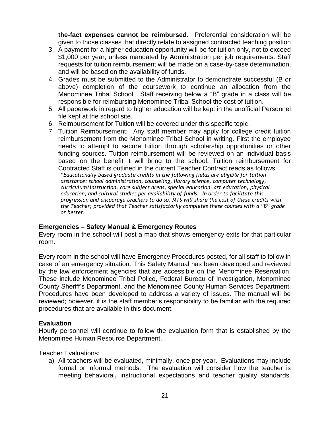**the-fact expenses cannot be reimbursed.** Preferential consideration will be given to those classes that directly relate to assigned contracted teaching position

- 3. A payment for a higher education opportunity will be for tuition only, not to exceed \$1,000 per year, unless mandated by Administration per job requirements. Staff requests for tuition reimbursement will be made on a case-by-case determination, and will be based on the availability of funds.
- 4. Grades must be submitted to the Administrator to demonstrate successful (B or above) completion of the coursework to continue an allocation from the Menominee Tribal School. Staff receiving below a "B" grade in a class will be responsible for reimbursing Menominee Tribal School the cost of tuition.
- 5. All paperwork in regard to higher education will be kept in the unofficial Personnel file kept at the school site.
- 6. Reimbursement for Tuition will be covered under this specific topic.
- 7. Tuition Reimbursement: Any staff member may apply for college credit tuition reimbursement from the Menominee Tribal School in writing. First the employee needs to attempt to secure tuition through scholarship opportunities or other funding sources. Tuition reimbursement will be reviewed on an individual basis based on the benefit it will bring to the school. Tuition reimbursement for Contracted Staff is outlined in the current Teacher Contract reads as follows: *"Educationally-based graduate credits in the following fields are eligible for tuition assistance: school administration, counseling, library science, computer technology, curriculum/instruction, core subject areas, special education, art education, physical education, and cultural studies per availability of funds. In order to facilitate this progression and encourage teachers to do so, MTS will share the cost of these credits with the Teacher; provided that Teacher satisfactorily completes these courses with a "B" grade or better.*

#### **Emergencies – Safety Manual & Emergency Routes**

Every room in the school will post a map that shows emergency exits for that particular room.

Every room in the school will have Emergency Procedures posted, for all staff to follow in case of an emergency situation. This Safety Manual has been developed and reviewed by the law enforcement agencies that are accessible on the Menominee Reservation. These include Menominee Tribal Police, Federal Bureau of Investigation, Menominee County Sheriff's Department, and the Menominee County Human Services Department. Procedures have been developed to address a variety of issues. The manual will be reviewed; however, it is the staff member's responsibility to be familiar with the required procedures that are available in this document.

#### **Evaluation**

Hourly personnel will continue to follow the evaluation form that is established by the Menominee Human Resource Department.

Teacher Evaluations:

a) All teachers will be evaluated, minimally, once per year. Evaluations may include formal or informal methods. The evaluation will consider how the teacher is meeting behavioral**,** instructional expectations and teacher quality standards.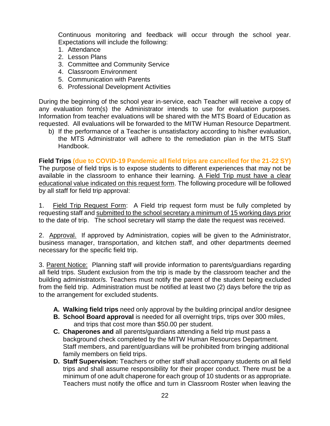Continuous monitoring and feedback will occur through the school year. Expectations will include the following:

- 1. Attendance
- 2. Lesson Plans
- 3. Committee and Community Service
- 4. Classroom Environment
- 5. Communication with Parents
- 6. Professional Development Activities

During the beginning of the school year in-service, each Teacher will receive a copy of any evaluation form(s) the Administrator intends to use for evaluation purposes. Information from teacher evaluations will be shared with the MTS Board of Education as requested. All evaluations will be forwarded to the MITW Human Resource Department.

b) If the performance of a Teacher is unsatisfactory according to his/her evaluation, the MTS Administrator will adhere to the remediation plan in the MTS Staff Handbook.

**Field Trips (due to COVID-19 Pandemic all field trips are cancelled for the 21-22 SY)** The purpose of field trips is to expose students to different experiences that may not be available in the classroom to enhance their learning. A Field Trip must have a clear educational value indicated on this request form. The following procedure will be followed by all staff for field trip approval:

1. Field Trip Request Form: A Field trip request form must be fully completed by requesting staff and submitted to the school secretary a minimum of 15 working days prior to the date of trip. The school secretary will stamp the date the request was received.

2. Approval. If approved by Administration, copies will be given to the Administrator, business manager, transportation, and kitchen staff, and other departments deemed necessary for the specific field trip.

3. Parent Notice: Planning staff will provide information to parents/guardians regarding all field trips. Student exclusion from the trip is made by the classroom teacher and the building administrator/s. Teachers must notify the parent of the student being excluded from the field trip. Administration must be notified at least two (2) days before the trip as to the arrangement for excluded students.

- **A. Walking field trips** need only approval by the building principal and/or designee
- **B. School Board approval** is needed for all overnight trips, trips over 300 miles, and trips that cost more than \$50.00 per student.
- **C. Chaperones and** all parents/guardians attending a field trip must pass a background check completed by the MITW Human Resources Department. Staff members, and parent/guardians will be prohibited from bringing additional family members on field trips.
- **D. Staff Supervision:** Teachers or other staff shall accompany students on all field trips and shall assume responsibility for their proper conduct. There must be a minimum of one adult chaperone for each group of 10 students or as appropriate. Teachers must notify the office and turn in Classroom Roster when leaving the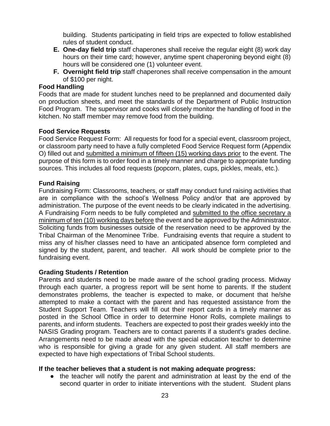building. Students participating in field trips are expected to follow established rules of student conduct.

- **E. One-day field trip** staff chaperones shall receive the regular eight (8) work day hours on their time card; however, anytime spent chaperoning beyond eight (8) hours will be considered one (1) volunteer event.
- **F. Overnight field trip** staff chaperones shall receive compensation in the amount of \$100 per night.

#### **Food Handling**

Foods that are made for student lunches need to be preplanned and documented daily on production sheets, and meet the standards of the Department of Public Instruction Food Program. The supervisor and cooks will closely monitor the handling of food in the kitchen. No staff member may remove food from the building.

#### **Food Service Requests**

Food Service Request Form: All requests for food for a special event, classroom project, or classroom party need to have a fully completed Food Service Request form (Appendix O) filled out and submitted a minimum of fifteen (15) working days prior to the event. The purpose of this form is to order food in a timely manner and charge to appropriate funding sources. This includes all food requests (popcorn, plates, cups, pickles, meals, etc.).

#### **Fund Raising**

Fundraising Form: Classrooms, teachers, or staff may conduct fund raising activities that are in compliance with the school's Wellness Policy and/or that are approved by administration. The purpose of the event needs to be clearly indicated in the advertising. A Fundraising Form needs to be fully completed and submitted to the office secretary a minimum of ten (10) working days before the event and be approved by the Administrator. Soliciting funds from businesses outside of the reservation need to be approved by the Tribal Chairman of the Menominee Tribe. Fundraising events that require a student to miss any of his/her classes need to have an anticipated absence form completed and signed by the student, parent, and teacher. All work should be complete prior to the fundraising event.

#### **Grading Students / Retention**

Parents and students need to be made aware of the school grading process. Midway through each quarter, a progress report will be sent home to parents. If the student demonstrates problems, the teacher is expected to make, or document that he/she attempted to make a contact with the parent and has requested assistance from the Student Support Team. Teachers will fill out their report cards in a timely manner as posted in the School Office in order to determine Honor Rolls, complete mailings to parents, and inform students. Teachers are expected to post their grades weekly into the NASIS Grading program. Teachers are to contact parents if a student's grades decline. Arrangements need to be made ahead with the special education teacher to determine who is responsible for giving a grade for any given student. All staff members are expected to have high expectations of Tribal School students.

#### **If the teacher believes that a student is not making adequate progress:**

● the teacher will notify the parent and administration at least by the end of the second quarter in order to initiate interventions with the student. Student plans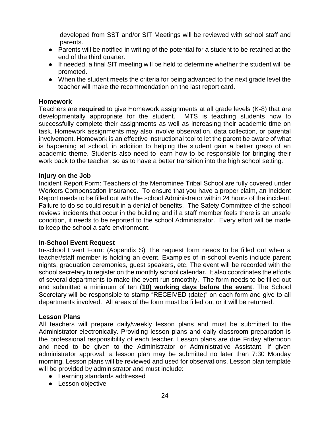developed from SST and/or SIT Meetings will be reviewed with school staff and parents.

- Parents will be notified in writing of the potential for a student to be retained at the end of the third quarter.
- If needed, a final SIT meeting will be held to determine whether the student will be promoted.
- When the student meets the criteria for being advanced to the next grade level the teacher will make the recommendation on the last report card.

#### **Homework**

Teachers are **required** to give Homework assignments at all grade levels (K-8) that are developmentally appropriate for the student. MTS is teaching students how to successfully complete their assignments as well as increasing their academic time on task. Homework assignments may also involve observation, data collection, or parental involvement. Homework is an effective instructional tool to let the parent be aware of what is happening at school, in addition to helping the student gain a better grasp of an academic theme. Students also need to learn how to be responsible for bringing their work back to the teacher, so as to have a better transition into the high school setting.

#### **Injury on the Job**

Incident Report Form: Teachers of the Menominee Tribal School are fully covered under Workers Compensation Insurance. To ensure that you have a proper claim, an Incident Report needs to be filled out with the school Administrator within 24 hours of the incident. Failure to do so could result in a denial of benefits. The Safety Committee of the school reviews incidents that occur in the building and if a staff member feels there is an unsafe condition, it needs to be reported to the school Administrator. Every effort will be made to keep the school a safe environment.

#### **In-School Event Request**

In-school Event Form: (Appendix S) The request form needs to be filled out when a teacher/staff member is holding an event. Examples of in-school events include parent nights, graduation ceremonies, guest speakers, etc. The event will be recorded with the school secretary to register on the monthly school calendar. It also coordinates the efforts of several departments to make the event run smoothly. The form needs to be filled out and submitted a minimum of ten (**10) working days before the event**. The School Secretary will be responsible to stamp "RECEIVED (date)" on each form and give to all departments involved. All areas of the form must be filled out or it will be returned.

#### **Lesson Plans**

All teachers will prepare daily/weekly lesson plans and must be submitted to the Administrator electronically. Providing lesson plans and daily classroom preparation is the professional responsibility of each teacher. Lesson plans are due Friday afternoon and need to be given to the Administrator or Administrative Assistant. If given administrator approval, a lesson plan may be submitted no later than 7:30 Monday morning. Lesson plans will be reviewed and used for observations. Lesson plan template will be provided by administrator and must include:

- Learning standards addressed
- Lesson objective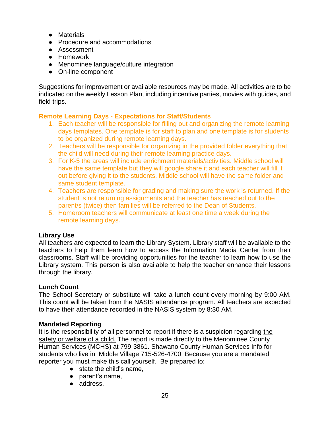- Materials
- Procedure and accommodations
- Assessment
- Homework
- Menominee language/culture integration
- On-line component

Suggestions for improvement or available resources may be made. All activities are to be indicated on the weekly Lesson Plan, including incentive parties, movies with guides, and field trips.

## **Remote Learning Days - Expectations for Staff/Students**

- 1. Each teacher will be responsible for filling out and organizing the remote learning days templates. One template is for staff to plan and one template is for students to be organized during remote learning days.
- 2. Teachers will be responsible for organizing in the provided folder everything that the child will need during their remote learning practice days.
- 3. For K-5 the areas will include enrichment materials/activities. Middle school will have the same template but they will google share it and each teacher will fill it out before giving it to the students. Middle school will have the same folder and same student template.
- 4. Teachers are responsible for grading and making sure the work is returned. If the student is not returning assignments and the teacher has reached out to the parent/s (twice) then families will be referred to the Dean of Students.
- 5. Homeroom teachers will communicate at least one time a week during the remote learning days.

## **Library Use**

All teachers are expected to learn the Library System. Library staff will be available to the teachers to help them learn how to access the Information Media Center from their classrooms. Staff will be providing opportunities for the teacher to learn how to use the Library system. This person is also available to help the teacher enhance their lessons through the library.

#### **Lunch Count**

The School Secretary or substitute will take a lunch count every morning by 9:00 AM. This count will be taken from the NASIS attendance program. All teachers are expected to have their attendance recorded in the NASIS system by 8:30 AM.

#### **Mandated Reporting**

It is the responsibility of all personnel to report if there is a suspicion regarding the safety or welfare of a child. The report is made directly to the Menominee County Human Services (MCHS) at 799-3861. Shawano County Human Services Info for students who live in Middle Village 715-526-4700 Because you are a mandated reporter you must make this call yourself. Be prepared to:

- state the child's name.
- parent's name,
- address,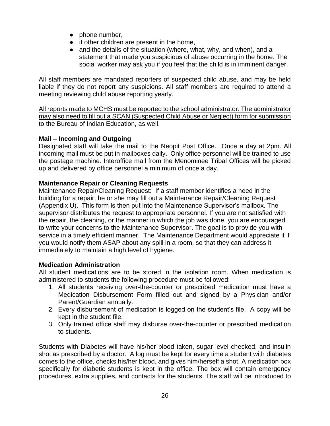- phone number,
- if other children are present in the home,
- and the details of the situation (where, what, why, and when), and a statement that made you suspicious of abuse occurring in the home. The social worker may ask you if you feel that the child is in imminent danger.

All staff members are mandated reporters of suspected child abuse, and may be held liable if they do not report any suspicions. All staff members are required to attend a meeting reviewing child abuse reporting yearly.

All reports made to MCHS must be reported to the school administrator. The administrator may also need to fill out a SCAN (Suspected Child Abuse or Neglect) form for submission to the Bureau of Indian Education, as well.

## **Mail – Incoming and Outgoing**

Designated staff will take the mail to the Neopit Post Office. Once a day at 2pm. All incoming mail must be put in mailboxes daily. Only office personnel will be trained to use the postage machine. Interoffice mail from the Menominee Tribal Offices will be picked up and delivered by office personnel a minimum of once a day.

## **Maintenance Repair or Cleaning Requests**

Maintenance Repair/Cleaning Request:If a staff member identifies a need in the building for a repair, he or she may fill out a Maintenance Repair/Cleaning Request (Appendix U). This form is then put into the Maintenance Supervisor's mailbox. The supervisor distributes the request to appropriate personnel. If you are not satisfied with the repair, the cleaning, or the manner in which the job was done, you are encouraged to write your concerns to the Maintenance Supervisor. The goal is to provide you with service in a timely efficient manner. The Maintenance Department would appreciate it if you would notify them ASAP about any spill in a room, so that they can address it immediately to maintain a high level of hygiene.

## **Medication Administration**

All student medications are to be stored in the isolation room. When medication is administered to students the following procedure must be followed:

- 1. All students receiving over-the-counter or prescribed medication must have a Medication Disbursement Form filled out and signed by a Physician and/or Parent/Guardian annually.
- 2. Every disbursement of medication is logged on the student's file. A copy will be kept in the student file.
- 3. Only trained office staff may disburse over-the-counter or prescribed medication to students.

Students with Diabetes will have his/her blood taken, sugar level checked, and insulin shot as prescribed by a doctor. A log must be kept for every time a student with diabetes comes to the office, checks his/her blood, and gives him/herself a shot. A medication box specifically for diabetic students is kept in the office. The box will contain emergency procedures, extra supplies, and contacts for the students. The staff will be introduced to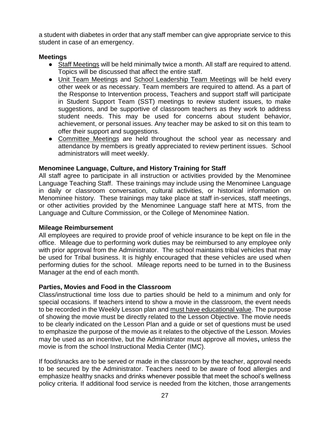a student with diabetes in order that any staff member can give appropriate service to this student in case of an emergency.

## **Meetings**

- Staff Meetings will be held minimally twice a month. All staff are required to attend. Topics will be discussed that affect the entire staff.
- Unit Team Meetings and School Leadership Team Meetings will be held every other week or as necessary. Team members are required to attend. As a part of the Response to Intervention process, Teachers and support staff will participate in Student Support Team (SST) meetings to review student issues, to make suggestions, and be supportive of classroom teachers as they work to address student needs. This may be used for concerns about student behavior, achievement, or personal issues. Any teacher may be asked to sit on this team to offer their support and suggestions.
- Committee Meetings are held throughout the school year as necessary and attendance by members is greatly appreciated to review pertinent issues. School administrators will meet weekly.

#### **Menominee Language, Culture, and History Training for Staff**

All staff agree to participate in all instruction or activities provided by the Menominee Language Teaching Staff. These trainings may include using the Menominee Language in daily or classroom conversation, cultural activities, or historical information on Menominee history. These trainings may take place at staff in-services, staff meetings, or other activities provided by the Menominee Language staff here at MTS, from the Language and Culture Commission, or the College of Menominee Nation.

#### **Mileage Reimbursement**

All employees are required to provide proof of vehicle insurance to be kept on file in the office. Mileage due to performing work duties may be reimbursed to any employee only with prior approval from the Administrator. The school maintains tribal vehicles that may be used for Tribal business. It is highly encouraged that these vehicles are used when performing duties for the school. Mileage reports need to be turned in to the Business Manager at the end of each month.

#### **Parties, Movies and Food in the Classroom**

Class/instructional time loss due to parties should be held to a minimum and only for special occasions. If teachers intend to show a movie in the classroom, the event needs to be recorded in the Weekly Lesson plan and must have educational value. The purpose of showing the movie must be directly related to the Lesson Objective. The movie needs to be clearly indicated on the Lesson Plan and a guide or set of questions must be used to emphasize the purpose of the movie as it relates to the objective of the Lesson. Movies may be used as an incentive, but the Administrator must approve all movies**,** unless the movie is from the school Instructional Media Center (IMC).

If food/snacks are to be served or made in the classroom by the teacher, approval needs to be secured by the Administrator. Teachers need to be aware of food allergies and emphasize healthy snacks and drinks whenever possible that meet the school's wellness policy criteria. If additional food service is needed from the kitchen, those arrangements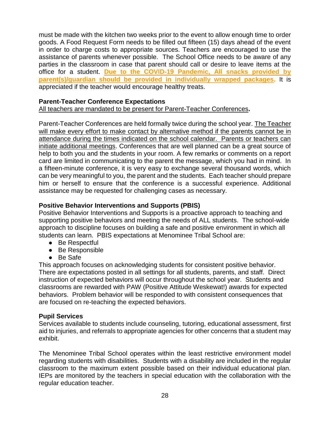must be made with the kitchen two weeks prior to the event to allow enough time to order goods. A Food Request Form needs to be filled out fifteen (15) days ahead of the event in order to charge costs to appropriate sources. Teachers are encouraged to use the assistance of parents whenever possible. The School Office needs to be aware of any parties in the classroom in case that parent should call or desire to leave items at the office for a student. **Due to the COVID-19 Pandemic, All snacks provided by parent(s)/guardian should be provided in individually wrapped packages.** It is appreciated if the teacher would encourage healthy treats.

## **Parent-Teacher Conference Expectations**

All teachers are mandated to be present for Parent-Teacher Conferences**.**

Parent-Teacher Conferences are held formally twice during the school year. The Teacher will make every effort to make contact by alternative method if the parents cannot be in attendance during the times indicated on the school calendar. Parents or teachers can initiate additional meetings. Conferences that are well planned can be a great source of help to both you and the students in your room. A few remarks or comments on a report card are limited in communicating to the parent the message, which you had in mind. In a fifteen-minute conference, it is very easy to exchange several thousand words, which can be very meaningful to you, the parent and the students. Each teacher should prepare him or herself to ensure that the conference is a successful experience. Additional assistance may be requested for challenging cases as necessary.

## **Positive Behavior Interventions and Supports (PBIS)**

Positive Behavior Interventions and Supports is a proactive approach to teaching and supporting positive behaviors and meeting the needs of ALL students. The school-wide approach to discipline focuses on building a safe and positive environment in which all students can learn. PBIS expectations at Menominee Tribal School are:

- Be Respectful
- Be Responsible
- Be Safe

This approach focuses on acknowledging students for consistent positive behavior. There are expectations posted in all settings for all students, parents, and staff. Direct instruction of expected behaviors will occur throughout the school year. Students and classrooms are rewarded with PAW (Positive Attitude Weskewat!) awards for expected behaviors. Problem behavior will be responded to with consistent consequences that are focused on re-teaching the expected behaviors.

#### **Pupil Services**

Services available to students include counseling, tutoring, educational assessment, first aid to injuries, and referrals to appropriate agencies for other concerns that a student may exhibit.

The Menominee Tribal School operates within the least restrictive environment model regarding students with disabilities. Students with a disability are included in the regular classroom to the maximum extent possible based on their individual educational plan. IEPs are monitored by the teachers in special education with the collaboration with the regular education teacher.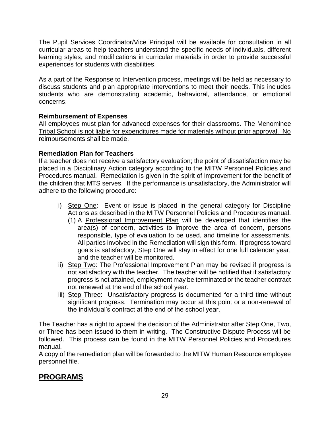The Pupil Services Coordinator/Vice Principal will be available for consultation in all curricular areas to help teachers understand the specific needs of individuals, different learning styles, and modifications in curricular materials in order to provide successful experiences for students with disabilities.

As a part of the Response to Intervention process, meetings will be held as necessary to discuss students and plan appropriate interventions to meet their needs. This includes students who are demonstrating academic, behavioral, attendance, or emotional concerns.

## **Reimbursement of Expenses**

All employees must plan for advanced expenses for their classrooms. The Menominee Tribal School is not liable for expenditures made for materials without prior approval. No reimbursements shall be made.

## **Remediation Plan for Teachers**

If a teacher does not receive a satisfactory evaluation; the point of dissatisfaction may be placed in a Disciplinary Action category according to the MITW Personnel Policies and Procedures manual. Remediation is given in the spirit of improvement for the benefit of the children that MTS serves. If the performance is unsatisfactory, the Administrator will adhere to the following procedure:

- i) Step One: Event or issue is placed in the general category for Discipline Actions as described in the MITW Personnel Policies and Procedures manual.
	- (1) A Professional Improvement Plan will be developed that identifies the area(s) of concern, activities to improve the area of concern, persons responsible, type of evaluation to be used, and timeline for assessments. All parties involved in the Remediation will sign this form. If progress toward goals is satisfactory, Step One will stay in effect for one full calendar year, and the teacher will be monitored.
- ii) Step Two: The Professional Improvement Plan may be revised if progress is not satisfactory with the teacher. The teacher will be notified that if satisfactory progress is not attained, employment may be terminated or the teacher contract not renewed at the end of the school year.
- iii) Step Three: Unsatisfactory progress is documented for a third time without significant progress. Termination may occur at this point or a non-renewal of the individual's contract at the end of the school year.

The Teacher has a right to appeal the decision of the Administrator after Step One, Two, or Three has been issued to them in writing. The Constructive Dispute Process will be followed. This process can be found in the MITW Personnel Policies and Procedures manual.

A copy of the remediation plan will be forwarded to the MITW Human Resource employee personnel file.

# **PROGRAMS**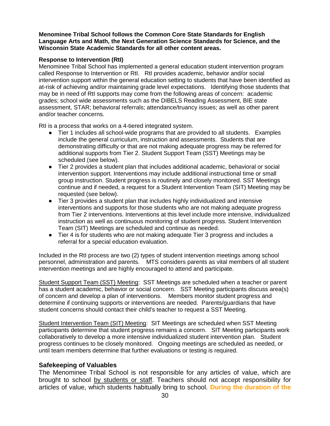#### **Menominee Tribal School follows the Common Core State Standards for English Language Arts and Math, the Next Generation Science Standards for Science, and the Wisconsin State Academic Standards for all other content areas.**

#### **Response to Intervention (RtI)**

Menominee Tribal School has implemented a general education student intervention program called Response to Intervention or RtI. RtI provides academic, behavior and/or social intervention support within the general education setting to students that have been identified as at-risk of achieving and/or maintaining grade level expectations. Identifying those students that may be in need of RtI supports may come from the following areas of concern: academic grades; school wide assessments such as the DIBELS Reading Assessment, BIE state assessment, STAR; behavioral referrals; attendance/truancy issues; as well as other parent and/or teacher concerns.

RtI is a process that works on a 4-tiered integrated system.

- Tier 1 includes all school-wide programs that are provided to all students. Examples include the general curriculum, instruction and assessments. Students that are demonstrating difficulty or that are not making adequate progress may be referred for additional supports from Tier 2. Student Support Team (SST) Meetings may be scheduled (see below).
- Tier 2 provides a student plan that includes additional academic, behavioral or social intervention support. Interventions may include additional instructional time or small group instruction. Student progress is routinely and closely monitored. SST Meetings continue and if needed, a request for a Student Intervention Team (SIT) Meeting may be requested (see below).
- Tier 3 provides a student plan that includes highly individualized and intensive interventions and supports for those students who are not making adequate progress from Tier 2 interventions. Interventions at this level include more intensive, individualized instruction as well as continuous monitoring of student progress. Student Intervention Team (SIT) Meetings are scheduled and continue as needed.
- Tier 4 is for students who are not making adequate Tier 3 progress and includes a referral for a special education evaluation.

Included in the RtI process are two (2) types of student intervention meetings among school personnel, administration and parents. MTS considers parents as vital members of all student intervention meetings and are highly encouraged to attend and participate.

Student Support Team (SST) Meeting: SST Meetings are scheduled when a teacher or parent has a student academic, behavior or social concern. SST Meeting participants discuss area(s) of concern and develop a plan of interventions. Members monitor student progress and determine if continuing supports or interventions are needed. Parents/guardians that have student concerns should contact their child's teacher to request a SST Meeting.

Student Intervention Team (SIT) Meeting: SIT Meetings are scheduled when SST Meeting participants determine that student progress remains a concern. SIT Meeting participants work collaboratively to develop a more intensive individualized student intervention plan. Student progress continues to be closely monitored. Ongoing meetings are scheduled as needed, or until team members determine that further evaluations or testing is required.

#### **Safekeeping of Valuables**

The Menominee Tribal School is not responsible for any articles of value, which are brought to school by students or staff. Teachers should not accept responsibility for articles of value, which students habitually bring to school. **During the duration of the**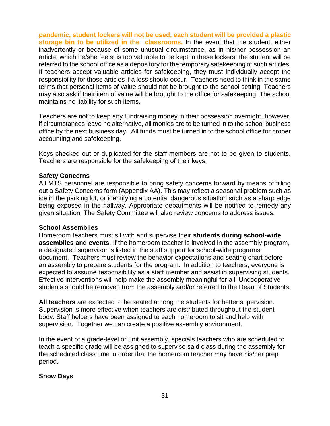**pandemic, student lockers will not be used, each student will be provided a plastic storage bin to be utilized in the classrooms.** In the event that the student, either inadvertently or because of some unusual circumstance, as in his/her possession an article, which he/she feels, is too valuable to be kept in these lockers, the student will be referred to the school office as a depository for the temporary safekeeping of such articles. If teachers accept valuable articles for safekeeping, they must individually accept the responsibility for those articles if a loss should occur. Teachers need to think in the same terms that personal items of value should not be brought to the school setting. Teachers may also ask if their item of value will be brought to the office for safekeeping. The school maintains no liability for such items.

Teachers are not to keep any fundraising money in their possession overnight, however, if circumstances leave no alternative, all monies are to be turned in to the school business office by the next business day. All funds must be turned in to the school office for proper accounting and safekeeping.

Keys checked out or duplicated for the staff members are not to be given to students. Teachers are responsible for the safekeeping of their keys.

#### **Safety Concerns**

All MTS personnel are responsible to bring safety concerns forward by means of filling out a Safety Concerns form (Appendix AA). This may reflect a seasonal problem such as ice in the parking lot, or identifying a potential dangerous situation such as a sharp edge being exposed in the hallway. Appropriate departments will be notified to remedy any given situation. The Safety Committee will also review concerns to address issues.

#### **School Assemblies**

Homeroom teachers must sit with and supervise their **students during school-wide assemblies and events**. If the homeroom teacher is involved in the assembly program, a designated supervisor is listed in the staff support for school-wide programs document. Teachers must review the behavior expectations and seating chart before an assembly to prepare students for the program. In addition to teachers, everyone is expected to assume responsibility as a staff member and assist in supervising students. Effective interventions will help make the assembly meaningful for all. Uncooperative students should be removed from the assembly and/or referred to the Dean of Students.

**All teachers** are expected to be seated among the students for better supervision. Supervision is more effective when teachers are distributed throughout the student body. Staff helpers have been assigned to each homeroom to sit and help with supervision. Together we can create a positive assembly environment.

In the event of a grade-level or unit assembly, specials teachers who are scheduled to teach a specific grade will be assigned to supervise said class during the assembly for the scheduled class time in order that the homeroom teacher may have his/her prep period.

#### **Snow Days**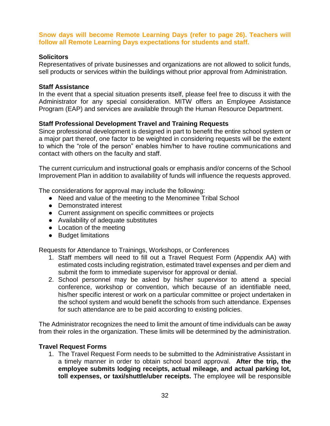#### **Snow days will become Remote Learning Days (refer to page 26). Teachers will follow all Remote Learning Days expectations for students and staff.**

#### **Solicitors**

Representatives of private businesses and organizations are not allowed to solicit funds, sell products or services within the buildings without prior approval from Administration.

#### **Staff Assistance**

In the event that a special situation presents itself, please feel free to discuss it with the Administrator for any special consideration. MITW offers an Employee Assistance Program (EAP) and services are available through the Human Resource Department.

#### **Staff Professional Development Travel and Training Requests**

Since professional development is designed in part to benefit the entire school system or a major part thereof, one factor to be weighted in considering requests will be the extent to which the "role of the person" enables him/her to have routine communications and contact with others on the faculty and staff.

The current curriculum and instructional goals or emphasis and/or concerns of the School Improvement Plan in addition to availability of funds will influence the requests approved.

The considerations for approval may include the following:

- Need and value of the meeting to the Menominee Tribal School
- Demonstrated interest
- Current assignment on specific committees or projects
- Availability of adequate substitutes
- Location of the meeting
- Budget limitations

Requests for Attendance to Trainings, Workshops, or Conferences

- 1. Staff members will need to fill out a Travel Request Form (Appendix AA) with estimated costs including registration, estimated travel expenses and per diem and submit the form to immediate supervisor for approval or denial.
- 2. School personnel may be asked by his/her supervisor to attend a special conference, workshop or convention, which because of an identifiable need, his/her specific interest or work on a particular committee or project undertaken in the school system and would benefit the schools from such attendance. Expenses for such attendance are to be paid according to existing policies.

The Administrator recognizes the need to limit the amount of time individuals can be away from their roles in the organization. These limits will be determined by the administration.

#### **Travel Request Forms**

1. The Travel Request Form needs to be submitted to the Administrative Assistant in a timely manner in order to obtain school board approval. **After the trip, the employee submits lodging receipts, actual mileage, and actual parking lot, toll expenses, or taxi/shuttle/uber receipts.** The employee will be responsible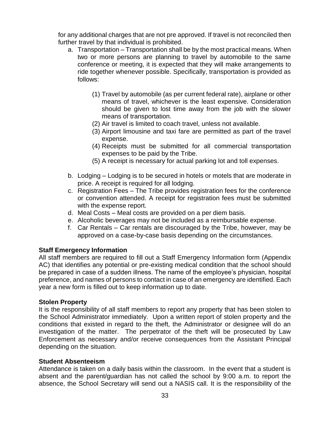for any additional charges that are not pre approved. If travel is not reconciled then further travel by that individual is prohibited.

- a. Transportation Transportation shall be by the most practical means. When two or more persons are planning to travel by automobile to the same conference or meeting, it is expected that they will make arrangements to ride together whenever possible. Specifically, transportation is provided as follows:
	- (1) Travel by automobile (as per current federal rate), airplane or other means of travel, whichever is the least expensive. Consideration should be given to lost time away from the job with the slower means of transportation.
	- (2) Air travel is limited to coach travel, unless not available.
	- (3) Airport limousine and taxi fare are permitted as part of the travel expense.
	- (4) Receipts must be submitted for all commercial transportation expenses to be paid by the Tribe.
	- (5) A receipt is necessary for actual parking lot and toll expenses.
- b. Lodging Lodging is to be secured in hotels or motels that are moderate in price. A receipt is required for all lodging.
- c. Registration Fees The Tribe provides registration fees for the conference or convention attended. A receipt for registration fees must be submitted with the expense report.
- d. Meal Costs Meal costs are provided on a per diem basis.
- e. Alcoholic beverages may not be included as a reimbursable expense.
- f. Car Rentals Car rentals are discouraged by the Tribe, however, may be approved on a case-by-case basis depending on the circumstances.

#### **Staff Emergency Information**

All staff members are required to fill out a Staff Emergency Information form (Appendix AC) that identifies any potential or pre-existing medical condition that the school should be prepared in case of a sudden illness. The name of the employee's physician, hospital preference, and names of persons to contact in case of an emergency are identified. Each year a new form is filled out to keep information up to date.

#### **Stolen Property**

It is the responsibility of all staff members to report any property that has been stolen to the School Administrator immediately. Upon a written report of stolen property and the conditions that existed in regard to the theft, the Administrator or designee will do an investigation of the matter. The perpetrator of the theft will be prosecuted by Law Enforcement as necessary and/or receive consequences from the Assistant Principal depending on the situation.

#### **Student Absenteeism**

Attendance is taken on a daily basis within the classroom. In the event that a student is absent and the parent/guardian has not called the school by 9:00 a.m. to report the absence, the School Secretary will send out a NASIS call. It is the responsibility of the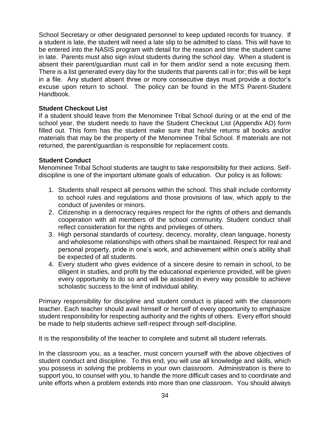School Secretary or other designated personnel to keep updated records for truancy. If a student is late, the student will need a late slip to be admitted to class. This will have to be entered into the NASIS program with detail for the reason and time the student came in late. Parents must also sign in/out students during the school day. When a student is absent their parent/guardian must call in for them and/or send a note excusing them. There is a list generated every day for the students that parents call in for; this will be kept in a file. Any student absent three or more consecutive days must provide a doctor's excuse upon return to school. The policy can be found in the MTS Parent-Student Handbook.

#### **Student Checkout List**

If a student should leave from the Menominee Tribal School during or at the end of the school year, the student needs to have the Student Checkout List (Appendix AD) form filled out. This form has the student make sure that he/she returns all books and/or materials that may be the property of the Menominee Tribal School. If materials are not returned, the parent/guardian is responsible for replacement costs.

#### **Student Conduct**

Menominee Tribal School students are taught to take responsibility for their actions. Selfdiscipline is one of the important ultimate goals of education. Our policy is as follows:

- 1. Students shall respect all persons within the school. This shall include conformity to school rules and regulations and those provisions of law, which apply to the conduct of juveniles or minors.
- 2. Citizenship in a democracy requires respect for the rights of others and demands cooperation with all members of the school community. Student conduct shall reflect consideration for the rights and privileges of others.
- 3. High personal standards of courtesy, decency, morality, clean language, honesty and wholesome relationships with others shall be maintained. Respect for real and personal property, pride in one's work, and achievement within one's ability shall be expected of all students.
- 4. Every student who gives evidence of a sincere desire to remain in school, to be diligent in studies, and profit by the educational experience provided, will be given every opportunity to do so and will be assisted in every way possible to achieve scholastic success to the limit of individual ability.

Primary responsibility for discipline and student conduct is placed with the classroom teacher. Each teacher should avail himself or herself of every opportunity to emphasize student responsibility for respecting authority and the rights of others. Every effort should be made to help students achieve self-respect through self-discipline.

It is the responsibility of the teacher to complete and submit all student referrals.

In the classroom you, as a teacher, must concern yourself with the above objectives of student conduct and discipline. To this end, you will use all knowledge and skills, which you possess in solving the problems in your own classroom. Administration is there to support you, to counsel with you, to handle the more difficult cases and to coordinate and unite efforts when a problem extends into more than one classroom. You should always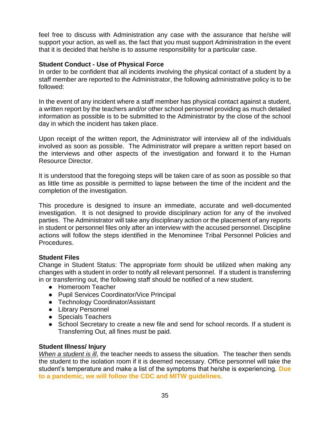feel free to discuss with Administration any case with the assurance that he/she will support your action, as well as, the fact that you must support Administration in the event that it is decided that he/she is to assume responsibility for a particular case.

### **Student Conduct - Use of Physical Force**

In order to be confident that all incidents involving the physical contact of a student by a staff member are reported to the Administrator, the following administrative policy is to be followed:

In the event of any incident where a staff member has physical contact against a student, a written report by the teachers and/or other school personnel providing as much detailed information as possible is to be submitted to the Administrator by the close of the school day in which the incident has taken place.

Upon receipt of the written report, the Administrator will interview all of the individuals involved as soon as possible. The Administrator will prepare a written report based on the interviews and other aspects of the investigation and forward it to the Human Resource Director.

It is understood that the foregoing steps will be taken care of as soon as possible so that as little time as possible is permitted to lapse between the time of the incident and the completion of the investigation.

This procedure is designed to insure an immediate, accurate and well-documented investigation. It is not designed to provide disciplinary action for any of the involved parties. The Administrator will take any disciplinary action or the placement of any reports in student or personnel files only after an interview with the accused personnel. Discipline actions will follow the steps identified in the Menominee Tribal Personnel Policies and Procedures.

#### **Student Files**

Change in Student Status: The appropriate form should be utilized when making any changes with a student in order to notify all relevant personnel. If a student is transferring in or transferring out, the following staff should be notified of a new student.

- Homeroom Teacher
- Pupil Services Coordinator/Vice Principal
- Technology Coordinator/Assistant
- Library Personnel
- Specials Teachers
- School Secretary to create a new file and send for school records. If a student is Transferring Out, all fines must be paid.

#### **Student Illness/ Injury**

*When a student is ill*, the teacher needs to assess the situation. The teacher then sends the student to the isolation room if it is deemed necessary. Office personnel will take the student's temperature and make a list of the symptoms that he/she is experiencing. **Due to a pandemic, we will follow the CDC and MITW guidelines.**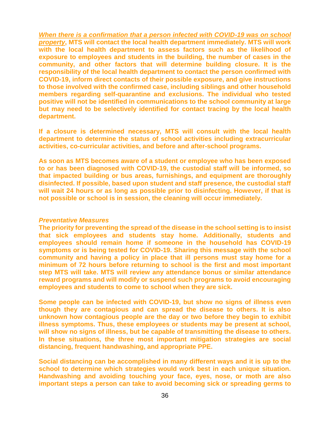*When there is a confirmation that a person infected with COVID-19 was on school property***, MTS will contact the local health department immediately. MTS will work with the local health department to assess factors such as the likelihood of exposure to employees and students in the building, the number of cases in the community, and other factors that will determine building closure. It is the responsibility of the local health department to contact the person confirmed with COVID-19, inform direct contacts of their possible exposure, and give instructions to those involved with the confirmed case, including siblings and other household members regarding self-quarantine and exclusions. The individual who tested positive will not be identified in communications to the school community at large but may need to be selectively identified for contact tracing by the local health department.**

**If a closure is determined necessary, MTS will consult with the local health department to determine the status of school activities including extracurricular activities, co-curricular activities, and before and after-school programs.**

**As soon as MTS becomes aware of a student or employee who has been exposed to or has been diagnosed with COVID-19, the custodial staff will be informed, so that impacted building or bus areas, furnishings, and equipment are thoroughly disinfected. If possible, based upon student and staff presence, the custodial staff will wait 24 hours or as long as possible prior to disinfecting. However, if that is not possible or school is in session, the cleaning will occur immediately.**

#### *Preventative Measures*

**The priority for preventing the spread of the disease in the school setting is to insist that sick employees and students stay home. Additionally, students and employees should remain home if someone in the household has COVID-19 symptoms or is being tested for COVID-19. Sharing this message with the school community and having a policy in place that ill persons must stay home for a minimum of 72 hours before returning to school is the first and most important step MTS will take. MTS will review any attendance bonus or similar attendance reward programs and will modify or suspend such programs to avoid encouraging employees and students to come to school when they are sick.**

**Some people can be infected with COVID-19, but show no signs of illness even though they are contagious and can spread the disease to others. It is also unknown how contagious people are the day or two before they begin to exhibit illness symptoms. Thus, these employees or students may be present at school, will show no signs of illness, but be capable of transmitting the disease to others. In these situations, the three most important mitigation strategies are social distancing, frequent handwashing, and appropriate PPE.**

**Social distancing can be accomplished in many different ways and it is up to the school to determine which strategies would work best in each unique situation. Handwashing and avoiding touching your face, eyes, nose, or moth are also important steps a person can take to avoid becoming sick or spreading germs to**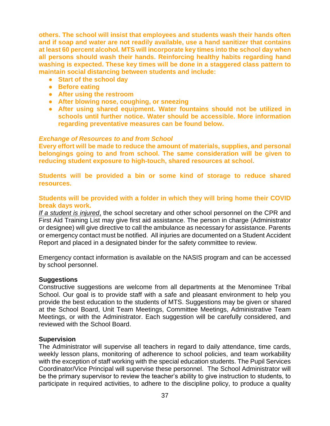**others. The school will insist that employees and students wash their hands often and if soap and water are not readily available, use a hand sanitizer that contains at least 60 percent alcohol. MTS will incorporate key times into the school day when all persons should wash their hands. Reinforcing healthy habits regarding hand washing is expected. These key times will be done in a staggered class pattern to maintain social distancing between students and include:**

- **Start of the school day**
- **Before eating**
- **After using the restroom**
- **After blowing nose, coughing, or sneezing**
- **After using shared equipment. Water fountains should not be utilized in schools until further notice. Water should be accessible. More information regarding preventative measures can be found below.**

#### *Exchange of Resources to and from School*

**Every effort will be made to reduce the amount of materials, supplies, and personal belongings going to and from school. The same consideration will be given to reducing student exposure to high-touch, shared resources at school.**

**Students will be provided a bin or some kind of storage to reduce shared resources.**

#### **Students will be provided with a folder in which they will bring home their COVID break days work.**

*If a student is injured*, the school secretary and other school personnel on the CPR and First Aid Training List may give first aid assistance. The person in charge (Administrator or designee) will give directive to call the ambulance as necessary for assistance. Parents or emergency contact must be notified. All injuries are documented on a Student Accident Report and placed in a designated binder for the safety committee to review.

Emergency contact information is available on the NASIS program and can be accessed by school personnel.

#### **Suggestions**

Constructive suggestions are welcome from all departments at the Menominee Tribal School. Our goal is to provide staff with a safe and pleasant environment to help you provide the best education to the students of MTS. Suggestions may be given or shared at the School Board, Unit Team Meetings, Committee Meetings, Administrative Team Meetings, or with the Administrator. Each suggestion will be carefully considered, and reviewed with the School Board.

#### **Supervision**

The Administrator will supervise all teachers in regard to daily attendance, time cards, weekly lesson plans, monitoring of adherence to school policies, and team workability with the exception of staff working with the special education students. The Pupil Services Coordinator/Vice Principal will supervise these personnel. The School Administrator will be the primary supervisor to review the teacher's ability to give instruction to students, to participate in required activities, to adhere to the discipline policy, to produce a quality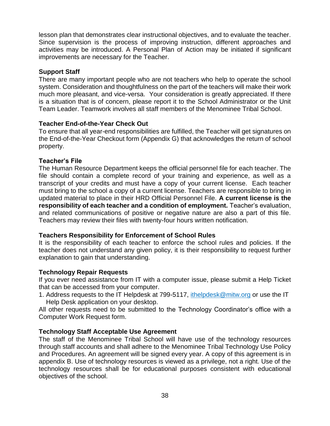lesson plan that demonstrates clear instructional objectives, and to evaluate the teacher. Since supervision is the process of improving instruction, different approaches and activities may be introduced. A Personal Plan of Action may be initiated if significant improvements are necessary for the Teacher.

## **Support Staff**

There are many important people who are not teachers who help to operate the school system. Consideration and thoughtfulness on the part of the teachers will make their work much more pleasant, and vice-versa. Your consideration is greatly appreciated. If there is a situation that is of concern, please report it to the School Administrator or the Unit Team Leader. Teamwork involves all staff members of the Menominee Tribal School.

#### **Teacher End-of-the-Year Check Out**

To ensure that all year-end responsibilities are fulfilled, the Teacher will get signatures on the End-of-the-Year Checkout form (Appendix G) that acknowledges the return of school property.

## **Teacher's File**

The Human Resource Department keeps the official personnel file for each teacher. The file should contain a complete record of your training and experience, as well as a transcript of your credits and must have a copy of your current license. Each teacher must bring to the school a copy of a current license. Teachers are responsible to bring in updated material to place in their HRD Official Personnel File. **A current license is the responsibility of each teacher and a condition of employment.** Teacher's evaluation, and related communications of positive or negative nature are also a part of this file. Teachers may review their files with twenty-four hours written notification.

#### **Teachers Responsibility for Enforcement of School Rules**

It is the responsibility of each teacher to enforce the school rules and policies. If the teacher does not understand any given policy, it is their responsibility to request further explanation to gain that understanding.

#### **Technology Repair Requests**

If you ever need assistance from IT with a computer issue, please submit a Help Ticket that can be accessed from your computer.

1. Address requests to the IT Helpdesk at 799-5117, ithelpdesk@mitw.org or use the IT Help Desk application on your desktop.

All other requests need to be submitted to the Technology Coordinator's office with a Computer Work Request form.

## **Technology Staff Acceptable Use Agreement**

The staff of the Menominee Tribal School will have use of the technology resources through staff accounts and shall adhere to the Menominee Tribal Technology Use Policy and Procedures. An agreement will be signed every year. A copy of this agreement is in appendix B. Use of technology resources is viewed as a privilege, not a right. Use of the technology resources shall be for educational purposes consistent with educational objectives of the school.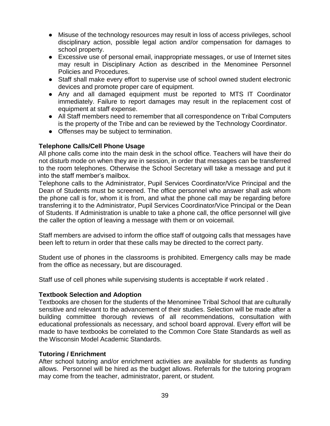- Misuse of the technology resources may result in loss of access privileges, school disciplinary action, possible legal action and/or compensation for damages to school property.
- Excessive use of personal email, inappropriate messages, or use of Internet sites may result in Disciplinary Action as described in the Menominee Personnel Policies and Procedures.
- Staff shall make every effort to supervise use of school owned student electronic devices and promote proper care of equipment.
- Any and all damaged equipment must be reported to MTS IT Coordinator immediately. Failure to report damages may result in the replacement cost of equipment at staff expense.
- All Staff members need to remember that all correspondence on Tribal Computers is the property of the Tribe and can be reviewed by the Technology Coordinator.
- Offenses may be subject to termination.

## **Telephone Calls/Cell Phone Usage**

All phone calls come into the main desk in the school office. Teachers will have their do not disturb mode on when they are in session, in order that messages can be transferred to the room telephones. Otherwise the School Secretary will take a message and put it into the staff member's mailbox.

Telephone calls to the Administrator, Pupil Services Coordinator/Vice Principal and the Dean of Students must be screened. The office personnel who answer shall ask whom the phone call is for, whom it is from, and what the phone call may be regarding before transferring it to the Administrator, Pupil Services Coordinator/Vice Principal or the Dean of Students. If Administration is unable to take a phone call, the office personnel will give the caller the option of leaving a message with them or on voicemail.

Staff members are advised to inform the office staff of outgoing calls that messages have been left to return in order that these calls may be directed to the correct party.

Student use of phones in the classrooms is prohibited. Emergency calls may be made from the office as necessary, but are discouraged.

Staff use of cell phones while supervising students is acceptable if work related .

## **Textbook Selection and Adoption**

Textbooks are chosen for the students of the Menominee Tribal School that are culturally sensitive and relevant to the advancement of their studies. Selection will be made after a building committee thorough reviews of all recommendations, consultation with educational professionals as necessary, and school board approval. Every effort will be made to have textbooks be correlated to the Common Core State Standards as well as the Wisconsin Model Academic Standards.

## **Tutoring / Enrichment**

After school tutoring and/or enrichment activities are available for students as funding allows. Personnel will be hired as the budget allows. Referrals for the tutoring program may come from the teacher, administrator, parent, or student.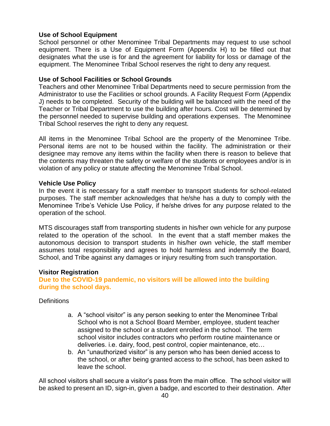## **Use of School Equipment**

School personnel or other Menominee Tribal Departments may request to use school equipment. There is a Use of Equipment Form (Appendix H) to be filled out that designates what the use is for and the agreement for liability for loss or damage of the equipment. The Menominee Tribal School reserves the right to deny any request.

### **Use of School Facilities or School Grounds**

Teachers and other Menominee Tribal Departments need to secure permission from the Administrator to use the Facilities or school grounds. A Facility Request Form (Appendix J) needs to be completed. Security of the building will be balanced with the need of the Teacher or Tribal Department to use the building after hours. Cost will be determined by the personnel needed to supervise building and operations expenses. The Menominee Tribal School reserves the right to deny any request.

All items in the Menominee Tribal School are the property of the Menominee Tribe. Personal items are not to be housed within the facility. The administration or their designee may remove any items within the facility when there is reason to believe that the contents may threaten the safety or welfare of the students or employees and/or is in violation of any policy or statute affecting the Menominee Tribal School.

#### **Vehicle Use Policy**

In the event it is necessary for a staff member to transport students for school-related purposes. The staff member acknowledges that he/she has a duty to comply with the Menominee Tribe's Vehicle Use Policy, if he/she drives for any purpose related to the operation of the school.

MTS discourages staff from transporting students in his/her own vehicle for any purpose related to the operation of the school. In the event that a staff member makes the autonomous decision to transport students in his/her own vehicle, the staff member assumes total responsibility and agrees to hold harmless and indemnify the Board, School, and Tribe against any damages or injury resulting from such transportation.

#### **Visitor Registration**

**Due to the COVID-19 pandemic, no visitors will be allowed into the building during the school days.**

**Definitions** 

- a. A "school visitor" is any person seeking to enter the Menominee Tribal School who is not a School Board Member, employee, student teacher assigned to the school or a student enrolled in the school. The term school visitor includes contractors who perform routine maintenance or deliveries. i.e. dairy, food, pest control, copier maintenance, etc…
- b. An "unauthorized visitor" is any person who has been denied access to the school, or after being granted access to the school, has been asked to leave the school.

All school visitors shall secure a visitor's pass from the main office. The school visitor will be asked to present an ID, sign-in, given a badge, and escorted to their destination. After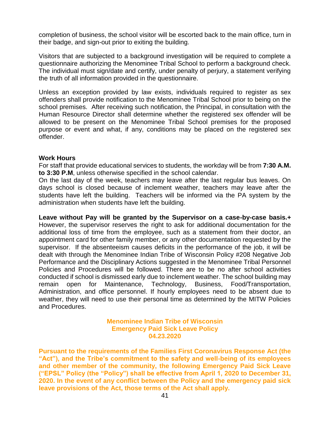completion of business, the school visitor will be escorted back to the main office, turn in their badge, and sign-out prior to exiting the building.

Visitors that are subjected to a background investigation will be required to complete a questionnaire authorizing the Menominee Tribal School to perform a background check. The individual must sign/date and certify, under penalty of perjury, a statement verifying the truth of all information provided in the questionnaire.

Unless an exception provided by law exists, individuals required to register as sex offenders shall provide notification to the Menominee Tribal School prior to being on the school premises. After receiving such notification, the Principal, in consultation with the Human Resource Director shall determine whether the registered sex offender will be allowed to be present on the Menominee Tribal School premises for the proposed purpose or event and what, if any, conditions may be placed on the registered sex offender.

#### **Work Hours**

For staff that provide educational services to students, the workday will be from **7:30 A.M. to 3:30 P.M**, unless otherwise specified in the school calendar.

On the last day of the week, teachers may leave after the last regular bus leaves. On days school is closed because of inclement weather, teachers may leave after the students have left the building. Teachers will be informed via the PA system by the administration when students have left the building.

**Leave without Pay will be granted by the Supervisor on a case-by-case basis.+**  However, the supervisor reserves the right to ask for additional documentation for the additional loss of time from the employee, such as a statement from their doctor, an appointment card for other family member, or any other documentation requested by the supervisor. If the absenteeism causes deficits in the performance of the job, it will be dealt with through the Menominee Indian Tribe of Wisconsin Policy #208 Negative Job Performance and the Disciplinary Actions suggested in the Menominee Tribal Personnel Policies and Procedures will be followed. There are to be no after school activities conducted if school is dismissed early due to inclement weather. The school building may remain open for Maintenance, Technology, Business, Food/Transportation, Administration, and office personnel. If hourly employees need to be absent due to weather, they will need to use their personal time as determined by the MITW Policies and Procedures.

> **Menominee Indian Tribe of Wisconsin Emergency Paid Sick Leave Policy 04.23.2020**

**Pursuant to the requirements of the Families First Coronavirus Response Act (the "Act"), and the Tribe's commitment to the safety and well-being of its employees and other member of the community, the following Emergency Paid Sick Leave ("EPSL" Policy (the "Policy") shall be effective from April 1, 2020 to December 31, 2020. In the event of any conflict between the Policy and the emergency paid sick leave provisions of the Act, those terms of the Act shall apply.**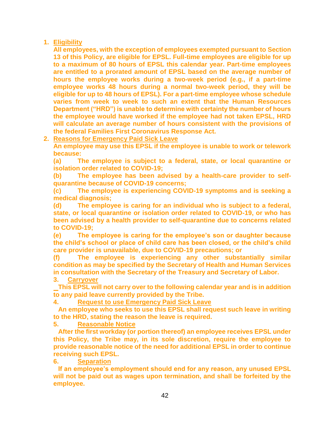## **1. Eligibility**

**All employees, with the exception of employees exempted pursuant to Section 13 of this Policy, are eligible for EPSL. Full-time employees are eligible for up to a maximum of 80 hours of EPSL this calendar year. Part-time employees are entitled to a prorated amount of EPSL based on the average number of hours the employee works during a two-week period (e.g., if a part-time employee works 48 hours during a normal two-week period, they will be eligible for up to 48 hours of EPSL). For a part-time employee whose schedule varies from week to week to such an extent that the Human Resources Department ("HRD") is unable to determine with certainty the number of hours the employee would have worked if the employee had not taken EPSL, HRD will calculate an average number of hours consistent with the provisions of the federal Families First Coronavirus Response Act.**

## **2. Reasons for Emergency Paid Sick Leave**

**An employee may use this EPSL if the employee is unable to work or telework because:**

**(a) The employee is subject to a federal, state, or local quarantine or isolation order related to COVID-19;**

**(b) The employee has been advised by a health-care provider to selfquarantine because of COVID-19 concerns;**

**(c) The employee is experiencing COVID-19 symptoms and is seeking a medical diagnosis;**

**(d) The employee is caring for an individual who is subject to a federal, state, or local quarantine or isolation order related to COVID-19, or who has been advised by a health provider to self-quarantine due to concerns related to COVID-19;**

**(e) The employee is caring for the employee's son or daughter because the child's school or place of child care has been closed, or the child's child care provider is unavailable, due to COVID-19 precautions; or**

**(f) The employee is experiencing any other substantially similar condition as may be specified by the Secretary of Health and Human Services in consultation with the Secretary of the Treasury and Secretary of Labor.**

**3. Carryover**

**This EPSL will not carry over to the following calendar year and is in addition to any paid leave currently provided by the Tribe.**

#### **4. Request to use Emergency Paid Sick Leave**

**An employee who seeks to use this EPSL shall request such leave in writing to the HRD, stating the reason the leave is required.**

**5. Reasonable Notice**

**After the first workday (or portion thereof) an employee receives EPSL under this Policy, the Tribe may, in its sole discretion, require the employee to provide reasonable notice of the need for additional EPSL in order to continue receiving such EPSL.**

**6. Separation**

**If an employee's employment should end for any reason, any unused EPSL will not be paid out as wages upon termination, and shall be forfeited by the employee.**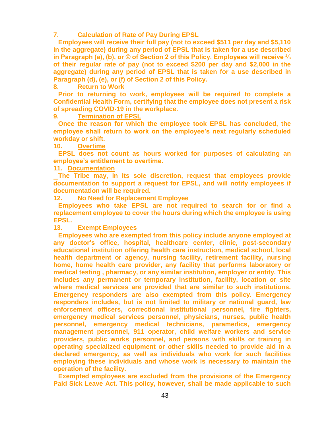#### **7. Calculation of Rate of Pay During EPSL**

**Employees will receive their full pay (not to exceed \$511 per day and \$5,110 in the aggregate) during any period of EPSL that is taken for a use described in Paragraph (a), (b), or © of Section 2 of this Policy. Employees will receive ⅔ of their regular rate of pay (not to exceed \$200 per day and \$2,000 in the aggregate) during any period of EPSL that is taken for a use described in Paragraph (d), (e), or (f) of Section 2 of this Policy.**

**8. Return to Work**

**Prior to returning to work, employees will be required to complete a Confidential Health Form, certifying that the employee does not present a risk of spreading COVID-19 in the workplace.**

**9. Termination of EPSL**

**Once the reason for which the employee took EPSL has concluded, the employee shall return to work on the employee's next regularly scheduled workday or shift.**

**10. Overtime**

**EPSL does not count as hours worked for purposes of calculating an employee's entitlement to overtime.**

**11. Documentation**

**The Tribe may, in its sole discretion, request that employees provide documentation to support a request for EPSL, and will notify employees if documentation will be required.**

**12. No Need for Replacement Employee**

**Employees who take EPSL are not required to search for or find a replacement employee to cover the hours during which the employee is using EPSL.**

**13. Exempt Employees**

**Employees who are exempted from this policy include anyone employed at any doctor's office, hospital, healthcare center, clinic, post-secondary educational institution offering health care instruction, medical school, local health department or agency, nursing facility, retirement facility, nursing home, home health care provider, any facility that performs laboratory or medical testing , pharmacy, or any similar institution, employer or entity. This includes any permanent or temporary institution, facility, location or site where medical services are provided that are similar to such institutions. Emergency responders are also exempted from this policy. Emergency responders includes, but is not limited to military or national guard, law enforcement officers, correctional institutional personnel, fire fighters, emergency medical services personnel, physicians, nurses, public health personnel, emergency medical technicians, paramedics, emergency management personnel, 911 operator, child welfare workers and service providers, public works personnel, and persons with skills or training in operating specialized equipment or other skills needed to provide aid in a declared emergency, as well as individuals who work for such facilities employing these individuals and whose work is necessary to maintain the operation of the facility.**

**Exempted employees are excluded from the provisions of the Emergency Paid Sick Leave Act. This policy, however, shall be made applicable to such**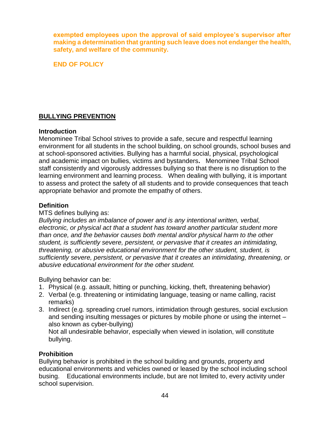**exempted employees upon the approval of said employee's supervisor after making a determination that granting such leave does not endanger the health, safety, and welfare of the community.**

**END OF POLICY**

## **BULLYING PREVENTION**

#### **Introduction**

Menominee Tribal School strives to provide a safe, secure and respectful learning environment for all students in the school building, on school grounds, school buses and at school-sponsored activities. Bullying has a harmful social, physical, psychological and academic impact on bullies, victims and bystanders**.** Menominee Tribal School staff consistently and vigorously addresses bullying so that there is no disruption to the learning environment and learning process. When dealing with bullying, it is important to assess and protect the safety of all students and to provide consequences that teach appropriate behavior and promote the empathy of others.

## **Definition**

#### MTS defines bullying as:

*Bullying includes an imbalance of power and is any intentional written, verbal, electronic, or physical act that a student has toward another particular student more than once, and the behavior causes both mental and/or physical harm to the other student, is sufficiently severe, persistent, or pervasive that it creates an intimidating, threatening, or abusive educational environment for the other student, student, is sufficiently severe, persistent, or pervasive that it creates an intimidating, threatening, or abusive educational environment for the other student.*

Bullying behavior can be:

- 1. Physical (e.g. assault, hitting or punching, kicking, theft, threatening behavior)
- 2. Verbal (e.g. threatening or intimidating language, teasing or name calling, racist remarks)
- 3. Indirect (e.g. spreading cruel rumors, intimidation through gestures, social exclusion and sending insulting messages or pictures by mobile phone or using the internet – also known as cyber-bullying) Not all undesirable behavior, especially when viewed in isolation, will constitute bullying.

## **Prohibition**

Bullying behavior is prohibited in the school building and grounds, property and educational environments and vehicles owned or leased by the school including school busing. Educational environments include, but are not limited to, every activity under school supervision.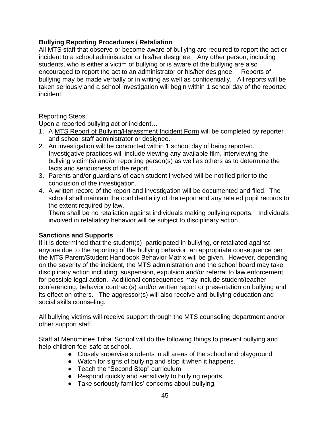## **Bullying Reporting Procedures / Retaliation**

All MTS staff that observe or become aware of bullying are required to report the act or incident to a school administrator or his/her designee. Any other person, including students, who is either a victim of bullying or is aware of the bullying are also encouraged to report the act to an administrator or his/her designee. Reports of bullying may be made verbally or in writing as well as confidentially. All reports will be taken seriously and a school investigation will begin within 1 school day of the reported incident.

## Reporting Steps:

Upon a reported bullying act or incident…

- 1. A MTS Report of Bullying/Harassment Incident Form will be completed by reporter and school staff administrator or designee.
- 2. An investigation will be conducted within 1 school day of being reported. Investigative practices will include viewing any available film, interviewing the bullying victim(s) and/or reporting person(s) as well as others as to determine the facts and seriousness of the report.
- 3. Parents and/or guardians of each student involved will be notified prior to the conclusion of the investigation.
- 4. A written record of the report and investigation will be documented and filed. The school shall maintain the confidentiality of the report and any related pupil records to the extent required by law.

There shall be no retaliation against individuals making bullying reports. Individuals involved in retaliatory behavior will be subject to disciplinary action

## **Sanctions and Supports**

If it is determined that the student(s) participated in bullying, or retaliated against anyone due to the reporting of the bullying behavior, an appropriate consequence per the MTS Parent/Student Handbook Behavior Matrix will be given. However, depending on the severity of the incident, the MTS administration and the school board may take disciplinary action including: suspension, expulsion and/or referral to law enforcement for possible legal action. Additional consequences may include student/teacher conferencing, behavior contract(s) and/or written report or presentation on bullying and its effect on others. The aggressor(s) will also receive anti-bullying education and social skills counseling.

All bullying victims will receive support through the MTS counseling department and/or other support staff.

Staff at Menominee Tribal School will do the following things to prevent bullying and help children feel safe at school.

- Closely supervise students in all areas of the school and playground
- Watch for signs of bullying and stop it when it happens.
- Teach the "Second Step" curriculum
- Respond quickly and sensitively to bullying reports.
- Take seriously families' concerns about bullying.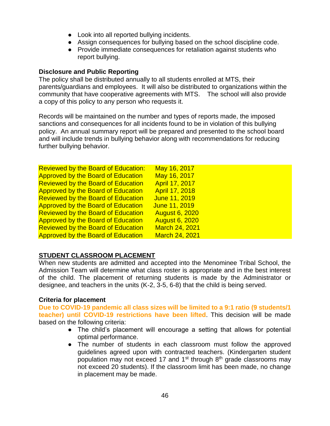- Look into all reported bullying incidents.
- Assign consequences for bullying based on the school discipline code.
- Provide immediate consequences for retaliation against students who report bullying.

## **Disclosure and Public Reporting**

The policy shall be distributed annually to all students enrolled at MTS, their parents/guardians and employees. It will also be distributed to organizations within the community that have cooperative agreements with MTS. The school will also provide a copy of this policy to any person who requests it.

Records will be maintained on the number and types of reports made, the imposed sanctions and consequences for all incidents found to be in violation of this bullying policy. An annual summary report will be prepared and presented to the school board and will include trends in bullying behavior along with recommendations for reducing further bullying behavior.

| <b>Reviewed by the Board of Education:</b> | May 16, 2017          |
|--------------------------------------------|-----------------------|
| <b>Approved by the Board of Education</b>  | May 16, 2017          |
| <b>Reviewed by the Board of Education</b>  | April 17, 2017        |
| <b>Approved by the Board of Education</b>  | April 17, 2018        |
| <b>Reviewed by the Board of Education</b>  | June 11, 2019         |
| <b>Approved by the Board of Education</b>  | June 11, 2019         |
| <b>Reviewed by the Board of Education</b>  | <b>August 6, 2020</b> |
| <b>Approved by the Board of Education</b>  | <b>August 6, 2020</b> |
| <b>Reviewed by the Board of Education</b>  | <b>March 24, 2021</b> |
| <b>Approved by the Board of Education</b>  | <b>March 24, 2021</b> |

# **STUDENT CLASSROOM PLACEMENT**

When new students are admitted and accepted into the Menominee Tribal School, the Admission Team will determine what class roster is appropriate and in the best interest of the child. The placement of returning students is made by the Administrator or designee, and teachers in the units (K-2, 3-5, 6-8) that the child is being served.

## **Criteria for placement**

**Due to COVID-19 pandemic all class sizes will be limited to a 9:1 ratio (9 students/1 teacher) until COVID-19 restrictions have been lifted**. This decision will be made based on the following criteria:

- The child's placement will encourage a setting that allows for potential optimal performance.
- The number of students in each classroom must follow the approved guidelines agreed upon with contracted teachers. (Kindergarten student population may not exceed 17 and  $1<sup>st</sup>$  through  $8<sup>th</sup>$  grade classrooms may not exceed 20 students). If the classroom limit has been made, no change in placement may be made.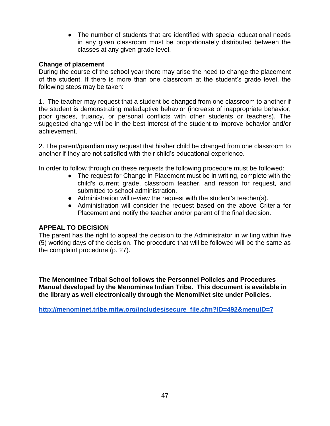• The number of students that are identified with special educational needs in any given classroom must be proportionately distributed between the classes at any given grade level.

### **Change of placement**

During the course of the school year there may arise the need to change the placement of the student. If there is more than one classroom at the student's grade level, the following steps may be taken:

1. The teacher may request that a student be changed from one classroom to another if the student is demonstrating maladaptive behavior (increase of inappropriate behavior, poor grades, truancy, or personal conflicts with other students or teachers). The suggested change will be in the best interest of the student to improve behavior and/or achievement.

2. The parent/guardian may request that his/her child be changed from one classroom to another if they are not satisfied with their child's educational experience.

In order to follow through on these requests the following procedure must be followed:

- The request for Change in Placement must be in writing, complete with the child's current grade, classroom teacher, and reason for request, and submitted to school administration.
- Administration will review the request with the student's teacher(s).
- Administration will consider the request based on the above Criteria for Placement and notify the teacher and/or parent of the final decision.

## **APPEAL TO DECISION**

The parent has the right to appeal the decision to the Administrator in writing within five (5) working days of the decision. The procedure that will be followed will be the same as the complaint procedure (p. 27).

**The Menominee Tribal School follows the Personnel Policies and Procedures Manual developed by the Menominee Indian Tribe. This document is available in the library as well electronically through the MenomiNet site under Policies.** 

**[http://menominet.tribe.mitw.org/includes/secure\\_file.cfm?ID=492&menuID=7](http://menominet.tribe.mitw.org/includes/secure_file.cfm?ID=492&menuID=7)**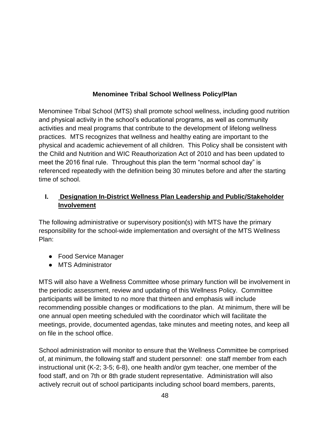# **Menominee Tribal School Wellness Policy/Plan**

Menominee Tribal School (MTS) shall promote school wellness, including good nutrition and physical activity in the school's educational programs, as well as community activities and meal programs that contribute to the development of lifelong wellness practices. MTS recognizes that wellness and healthy eating are important to the physical and academic achievement of all children. This Policy shall be consistent with the Child and Nutrition and WIC Reauthorization Act of 2010 and has been updated to meet the 2016 final rule. Throughout this plan the term "normal school day" is referenced repeatedly with the definition being 30 minutes before and after the starting time of school.

# **I. Designation In-District Wellness Plan Leadership and Public/Stakeholder Involvement**

The following administrative or supervisory position(s) with MTS have the primary responsibility for the school-wide implementation and oversight of the MTS Wellness Plan:

- Food Service Manager
- MTS Administrator

MTS will also have a Wellness Committee whose primary function will be involvement in the periodic assessment, review and updating of this Wellness Policy. Committee participants will be limited to no more that thirteen and emphasis will include recommending possible changes or modifications to the plan. At minimum, there will be one annual open meeting scheduled with the coordinator which will facilitate the meetings, provide, documented agendas, take minutes and meeting notes, and keep all on file in the school office.

School administration will monitor to ensure that the Wellness Committee be comprised of, at minimum, the following staff and student personnel: one staff member from each instructional unit (K-2; 3-5; 6-8), one health and/or gym teacher, one member of the food staff, and on 7th or 8th grade student representative. Administration will also actively recruit out of school participants including school board members, parents,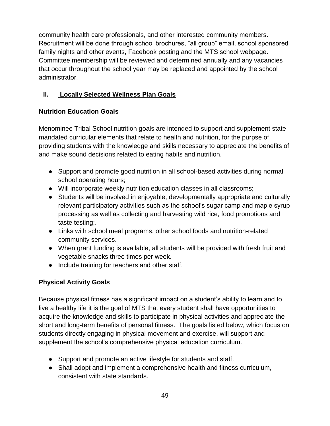community health care professionals, and other interested community members. Recruitment will be done through school brochures, "all group" email, school sponsored family nights and other events, Facebook posting and the MTS school webpage. Committee membership will be reviewed and determined annually and any vacancies that occur throughout the school year may be replaced and appointed by the school administrator.

# **II. Locally Selected Wellness Plan Goals**

## **Nutrition Education Goals**

Menominee Tribal School nutrition goals are intended to support and supplement statemandated curricular elements that relate to health and nutrition, for the purpse of providing students with the knowledge and skills necessary to appreciate the benefits of and make sound decisions related to eating habits and nutrition.

- Support and promote good nutrition in all school-based activities during normal school operating hours;
- Will incorporate weekly nutrition education classes in all classrooms;
- Students will be involved in enjoyable, developmentally appropriate and culturally relevant participatory activities such as the school's sugar camp and maple syrup processing as well as collecting and harvesting wild rice, food promotions and taste testing;.
- Links with school meal programs, other school foods and nutrition-related community services.
- When grant funding is available, all students will be provided with fresh fruit and vegetable snacks three times per week.
- Include training for teachers and other staff.

# **Physical Activity Goals**

Because physical fitness has a significant impact on a student's ability to learn and to live a healthy life it is the goal of MTS that every student shall have opportunities to acquire the knowledge and skills to participate in physical activities and appreciate the short and long-term benefits of personal fitness. The goals listed below, which focus on students directly engaging in physical movement and exercise, will support and supplement the school's comprehensive physical education curriculum.

- Support and promote an active lifestyle for students and staff.
- Shall adopt and implement a comprehensive health and fitness curriculum, consistent with state standards.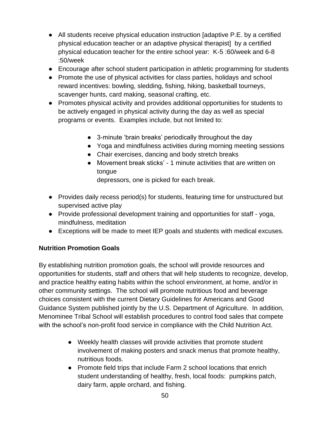- All students receive physical education instruction [adaptive P.E. by a certified physical education teacher or an adaptive physical therapist] by a certified physical education teacher for the entire school year: K-5 :60/week and 6-8 :50/week
- Encourage after school student participation in athletic programming for students
- Promote the use of physical activities for class parties, holidays and school reward incentives: bowling, sledding, fishing, hiking, basketball tourneys, scavenger hunts, card making, seasonal crafting, etc.
- Promotes physical activity and provides additional opportunities for students to be actively engaged in physical activity during the day as well as special programs or events. Examples include, but not limited to:
	- 3-minute 'brain breaks' periodically throughout the day
	- Yoga and mindfulness activities during morning meeting sessions
	- Chair exercises, dancing and body stretch breaks
	- Movement break sticks' 1 minute activities that are written on tongue

depressors, one is picked for each break.

- Provides daily recess period(s) for students, featuring time for unstructured but supervised active play
- Provide professional development training and opportunities for staff yoga, mindfulness, meditation
- Exceptions will be made to meet IEP goals and students with medical excuses.

## **Nutrition Promotion Goals**

By establishing nutrition promotion goals, the school will provide resources and opportunities for students, staff and others that will help students to recognize, develop, and practice healthy eating habits within the school environment, at home, and/or in other community settings. The school will promote nutritious food and beverage choices consistent with the current Dietary Guidelines for Americans and Good Guidance System published jointly by the U.S. Department of Agriculture. In addition, Menominee Tribal School will establish procedures to control food sales that compete with the school's non-profit food service in compliance with the Child Nutrition Act.

- Weekly health classes will provide activities that promote student involvement of making posters and snack menus that promote healthy, nutritious foods.
- Promote field trips that include Farm 2 school locations that enrich student understanding of healthy, fresh, local foods: pumpkins patch, dairy farm, apple orchard, and fishing.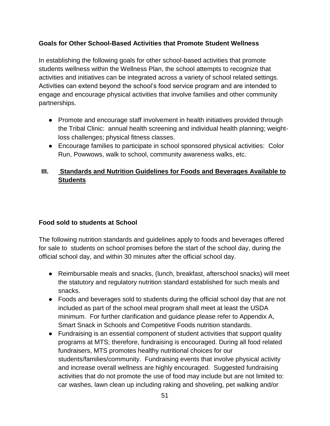## **Goals for Other School-Based Activities that Promote Student Wellness**

In establishing the following goals for other school-based activities that promote students wellness within the Wellness Plan, the school attempts to recognize that activities and initiatives can be integrated across a variety of school related settings. Activities can extend beyond the school's food service program and are intended to engage and encourage physical activities that involve families and other community partnerships.

- Promote and encourage staff involvement in health initiatives provided through the Tribal Clinic: annual health screening and individual health planning; weightloss challenges; physical fitness classes.
- Encourage families to participate in school sponsored physical activities: Color Run, Powwows, walk to school, community awareness walks, etc.

# **III. Standards and Nutrition Guidelines for Foods and Beverages Available to Students**

## **Food sold to students at School**

The following nutrition standards and guidelines apply to foods and beverages offered for sale to students on school promises before the start of the school day, during the official school day, and within 30 minutes after the official school day.

- Reimbursable meals and snacks, (lunch, breakfast, afterschool snacks) will meet the statutory and regulatory nutrition standard established for such meals and snacks.
- Foods and beverages sold to students during the official school day that are not included as part of the school meal program shall meet at least the USDA minimum. For further clarification and guidance please refer to Appendix A, Smart Snack in Schools and Competitive Foods nutrition standards.
- Fundraising is an essential component of student activities that support quality programs at MTS; therefore, fundraising is encouraged. During all food related fundraisers, MTS promotes healthy nutritional choices for our students/families/community. Fundraising events that involve physical activity and increase overall wellness are highly encouraged. Suggested fundraising activities that do not promote the use of food may include but are not limited to: car washes, lawn clean up including raking and shoveling, pet walking and/or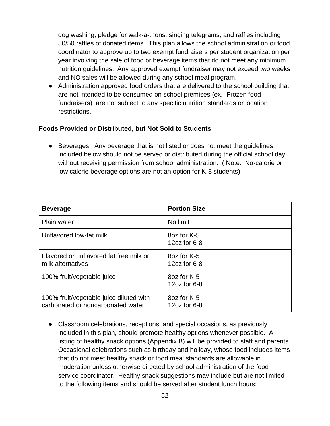dog washing, pledge for walk-a-thons, singing telegrams, and raffles including 50/50 raffles of donated items. This plan allows the school administration or food coordinator to approve up to two exempt fundraisers per student organization per year involving the sale of food or beverage items that do not meet any minimum nutrition guidelines. Any approved exempt fundraiser may not exceed two weeks and NO sales will be allowed during any school meal program.

● Administration approved food orders that are delivered to the school building that are not intended to be consumed on school premises (ex. Frozen food fundraisers) are not subject to any specific nutrition standards or location restrictions.

## **Foods Provided or Distributed, but Not Sold to Students**

• Beverages: Any beverage that is not listed or does not meet the quidelines included below should not be served or distributed during the official school day without receiving permission from school administration. ( Note: No-calorie or low calorie beverage options are not an option for K-8 students)

| <b>Beverage</b>                                                              | <b>Portion Size</b>           |
|------------------------------------------------------------------------------|-------------------------------|
| <b>Plain water</b>                                                           | No limit                      |
| Unflavored low-fat milk                                                      | 8oz for K-5<br>12oz for 6-8   |
| Flavored or unflavored fat free milk or<br>milk alternatives                 | 8oz for K-5<br>12oz for $6-8$ |
| 100% fruit/vegetable juice                                                   | 8oz for K-5<br>12oz for 6-8   |
| 100% fruit/vegetable juice diluted with<br>carbonated or noncarbonated water | 8oz for K-5<br>12oz for 6-8   |

● Classroom celebrations, receptions, and special occasions, as previously included in this plan, should promote healthy options whenever possible. A listing of healthy snack options (Appendix B) will be provided to staff and parents. Occasional celebrations such as birthday and holiday, whose food includes items that do not meet healthy snack or food meal standards are allowable in moderation unless otherwise directed by school administration of the food service coordinator. Healthy snack suggestions may include but are not limited to the following items and should be served after student lunch hours: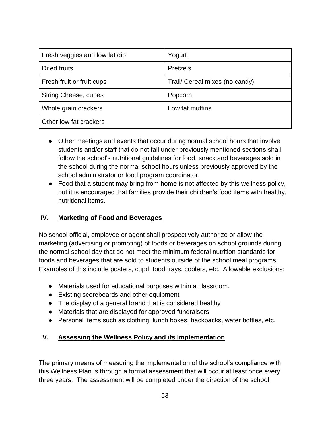| Fresh veggies and low fat dip | Yogurt                         |
|-------------------------------|--------------------------------|
| <b>Dried fruits</b>           | Pretzels                       |
| Fresh fruit or fruit cups     | Trail/ Cereal mixes (no candy) |
| <b>String Cheese, cubes</b>   | Popcorn                        |
| Whole grain crackers          | Low fat muffins                |
| Other low fat crackers        |                                |

- Other meetings and events that occur during normal school hours that involve students and/or staff that do not fall under previously mentioned sections shall follow the school's nutritional guidelines for food, snack and beverages sold in the school during the normal school hours unless previously approved by the school administrator or food program coordinator.
- Food that a student may bring from home is not affected by this wellness policy, but it is encouraged that families provide their children's food items with healthy, nutritional items.

# **IV. Marketing of Food and Beverages**

No school official, employee or agent shall prospectively authorize or allow the marketing (advertising or promoting) of foods or beverages on school grounds during the normal school day that do not meet the minimum federal nutrition standards for foods and beverages that are sold to students outside of the school meal programs. Examples of this include posters, cupd, food trays, coolers, etc. Allowable exclusions:

- Materials used for educational purposes within a classroom.
- Existing scoreboards and other equipment
- The display of a general brand that is considered healthy
- Materials that are displayed for approved fundraisers
- Personal items such as clothing, lunch boxes, backpacks, water bottles, etc.

# **V. Assessing the Wellness Policy and its Implementation**

The primary means of measuring the implementation of the school's compliance with this Wellness Plan is through a formal assessment that will occur at least once every three years. The assessment will be completed under the direction of the school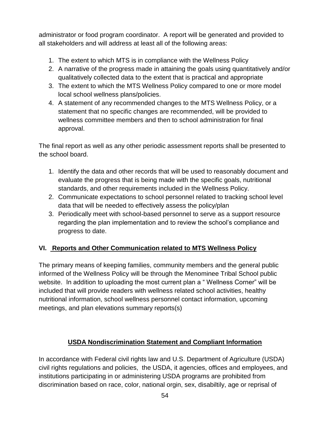administrator or food program coordinator. A report will be generated and provided to all stakeholders and will address at least all of the following areas:

- 1. The extent to which MTS is in compliance with the Wellness Policy
- 2. A narrative of the progress made in attaining the goals using quantitatively and/or qualitatively collected data to the extent that is practical and appropriate
- 3. The extent to which the MTS Wellness Policy compared to one or more model local school wellness plans/policies.
- 4. A statement of any recommended changes to the MTS Wellness Policy, or a statement that no specific changes are recommended, will be provided to wellness committee members and then to school administration for final approval.

The final report as well as any other periodic assessment reports shall be presented to the school board.

- 1. Identify the data and other records that will be used to reasonably document and evaluate the progress that is being made with the specific goals, nutritional standards, and other requirements included in the Wellness Policy.
- 2. Communicate expectations to school personnel related to tracking school level data that will be needed to effectively assess the policy/plan
- 3. Periodically meet with school-based personnel to serve as a support resource regarding the plan implementation and to review the school's compliance and progress to date.

# **VI. Reports and Other Communication related to MTS Wellness Policy**

The primary means of keeping families, community members and the general public informed of the Wellness Policy will be through the Menominee Tribal School public website. In addition to uploading the most current plan a " Wellness Corner" will be included that will provide readers with wellness related school activities, healthy nutritional information, school wellness personnel contact information, upcoming meetings, and plan elevations summary reports(s)

# **USDA Nondiscrimination Statement and Compliant Information**

In accordance with Federal civil rights law and U.S. Department of Agriculture (USDA) civil rights regulations and policies, the USDA, it agencies, offices and employees, and institutions participating in or administering USDA programs are prohibited from discrimination based on race, color, national orgin, sex, disabiltily, age or reprisal of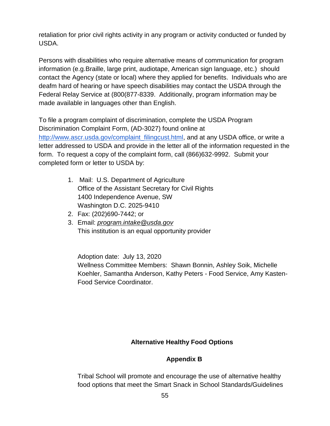retaliation for prior civil rights activity in any program or activity conducted or funded by USDA.

Persons with disabilities who require alternative means of communication for program information (e.g.Braille, large print, audiotape, American sign language, etc.) should contact the Agency (state or local) where they applied for benefits. Individuals who are deafm hard of hearing or have speech disabilities may contact the USDA through the Federal Relay Service at (800(877-8339. Additionally, program information may be made available in languages other than English.

To file a program complaint of discrimination, complete the USDA Program Discrimination Complaint Form, (AD-3027) found online at [http://www.ascr.usda.gov/complaint\\_filingcust.html,](http://www.ascr.usda.gov/complaint_filingcust.html) and at any USDA office, or write a letter addressed to USDA and provide in the letter all of the information requested in the form. To request a copy of the complaint form, call (866)632-9992. Submit your completed form or letter to USDA by:

- 1. Mail: U.S. Department of Agriculture Office of the Assistant Secretary for Civil Rights 1400 Independence Avenue, SW Washington D.C. 2025-9410
- 2. Fax: (202)690-7442; or
- 3. Email: *program.intake@usda.gov* This institution is an equal opportunity provider

Adoption date: July 13, 2020 Wellness Committee Members: Shawn Bonnin, Ashley Soik, Michelle Koehler, Samantha Anderson, Kathy Peters - Food Service, Amy Kasten-Food Service Coordinator.

## **Alternative Healthy Food Options**

# **Appendix B**

Tribal School will promote and encourage the use of alternative healthy food options that meet the Smart Snack in School Standards/Guidelines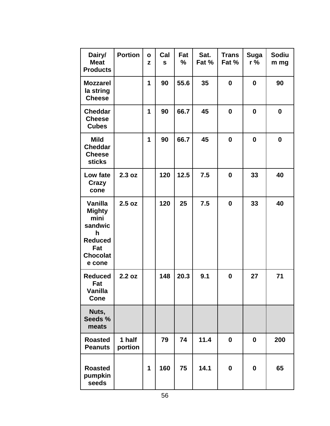| Dairy/<br><b>Meat</b><br><b>Products</b>                                                               | <b>Portion</b>    | $\mathbf{o}$<br>z | Cal<br>$\mathbf{s}$ | Fat<br>$\frac{9}{6}$ | Sat.<br>Fat % | <b>Trans</b><br>Fat % | <b>Suga</b><br>$r\%$ | <b>Sodiu</b><br>m mg |
|--------------------------------------------------------------------------------------------------------|-------------------|-------------------|---------------------|----------------------|---------------|-----------------------|----------------------|----------------------|
| <b>Mozzarel</b><br>la string<br><b>Cheese</b>                                                          |                   | 1                 | 90                  | 55.6                 | 35            | 0                     | $\mathbf 0$          | 90                   |
| <b>Cheddar</b><br><b>Cheese</b><br><b>Cubes</b>                                                        |                   | 1                 | 90                  | 66.7                 | 45            | $\bf{0}$              | $\mathbf 0$          | $\mathbf{0}$         |
| <b>Mild</b><br><b>Cheddar</b><br><b>Cheese</b><br><b>sticks</b>                                        |                   | 1                 | 90                  | 66.7                 | 45            | $\bf{0}$              | $\mathbf 0$          | $\boldsymbol{0}$     |
| Low fate<br><b>Crazy</b><br>cone                                                                       | 2.3 oz            |                   | 120                 | 12.5                 | 7.5           | $\bf{0}$              | 33                   | 40                   |
| Vanilla<br><b>Mighty</b><br>mini<br>sandwic<br>h<br><b>Reduced</b><br>Fat<br><b>Chocolat</b><br>e cone | 2.5 oz            |                   | 120                 | 25                   | 7.5           | $\bf{0}$              | 33                   | 40                   |
| <b>Reduced</b><br>Fat<br>Vanilla<br><b>Cone</b>                                                        | 2.2 oz            |                   | 148                 | 20.3                 | 9.1           | $\bf{0}$              | 27                   | 71                   |
| Nuts,<br>Seeds %<br>meats                                                                              |                   |                   |                     |                      |               |                       |                      |                      |
| <b>Roasted</b><br><b>Peanuts</b>                                                                       | 1 half<br>portion |                   | 79                  | 74                   | 11.4          | $\bf{0}$              | $\boldsymbol{0}$     | 200                  |
| <b>Roasted</b><br>pumpkin<br>seeds                                                                     |                   | 1                 | 160                 | 75                   | 14.1          | 0                     | $\mathbf 0$          | 65                   |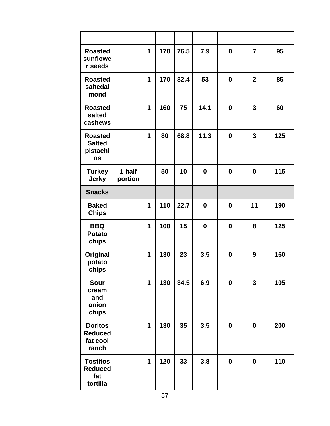| <b>Roasted</b><br>sunflowe<br>r seeds                    |                   | 1 | 170 | 76.5 | 7.9      | $\mathbf 0$ | $\overline{7}$ | 95  |
|----------------------------------------------------------|-------------------|---|-----|------|----------|-------------|----------------|-----|
| <b>Roasted</b><br>saltedal<br>mond                       |                   | 1 | 170 | 82.4 | 53       | $\bf{0}$    | $\overline{2}$ | 85  |
| <b>Roasted</b><br>salted<br>cashews                      |                   | 1 | 160 | 75   | 14.1     | $\mathbf 0$ | $\overline{3}$ | 60  |
| <b>Roasted</b><br><b>Salted</b><br>pistachi<br><b>os</b> |                   | 1 | 80  | 68.8 | 11.3     | $\bf{0}$    | 3              | 125 |
| <b>Turkey</b><br><b>Jerky</b>                            | 1 half<br>portion |   | 50  | 10   | $\bf{0}$ | 0           | $\bf{0}$       | 115 |
| <b>Snacks</b>                                            |                   |   |     |      |          |             |                |     |
| <b>Baked</b><br><b>Chips</b>                             |                   | 1 | 110 | 22.7 | $\bf{0}$ | $\bf{0}$    | 11             | 190 |
| <b>BBQ</b><br><b>Potato</b><br>chips                     |                   | 1 | 100 | 15   | $\bf{0}$ | 0           | 8              | 125 |
| Original<br>potato<br>chips                              |                   | 1 | 130 | 23   | 3.5      | $\mathbf 0$ | 9              | 160 |
| Sour<br>cream<br>and<br>onion<br>chips                   |                   | 1 | 130 | 34.5 | 6.9      | $\mathbf 0$ | $\overline{3}$ | 105 |
| <b>Doritos</b><br><b>Reduced</b><br>fat cool<br>ranch    |                   | 1 | 130 | 35   | 3.5      | $\mathbf 0$ | $\mathbf 0$    | 200 |
| <b>Tostitos</b><br><b>Reduced</b><br>fat<br>tortilla     |                   | 1 | 120 | 33   | 3.8      | 0           | $\bf{0}$       | 110 |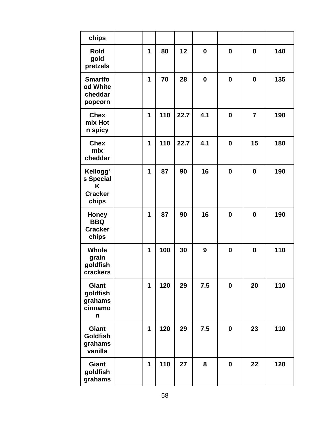| chips                                                 |   |     |      |          |             |                  |     |
|-------------------------------------------------------|---|-----|------|----------|-------------|------------------|-----|
| <b>Rold</b><br>gold<br>pretzels                       | 1 | 80  | 12   | $\bf{0}$ | $\bf{0}$    | $\boldsymbol{0}$ | 140 |
| <b>Smartfo</b><br>od White<br>cheddar<br>popcorn      | 1 | 70  | 28   | $\bf{0}$ | $\bf{0}$    | $\boldsymbol{0}$ | 135 |
| <b>Chex</b><br>mix Hot<br>n spicy                     | 1 | 110 | 22.7 | 4.1      | $\bf{0}$    | $\overline{7}$   | 190 |
| <b>Chex</b><br>mix<br>cheddar                         | 1 | 110 | 22.7 | 4.1      | $\bf{0}$    | 15               | 180 |
| Kellogg'<br>s Special<br>K<br><b>Cracker</b><br>chips | 1 | 87  | 90   | 16       | $\bf{0}$    | $\mathbf 0$      | 190 |
| <b>Honey</b><br><b>BBQ</b><br><b>Cracker</b><br>chips | 1 | 87  | 90   | 16       | $\bf{0}$    | $\mathbf 0$      | 190 |
| <b>Whole</b><br>grain<br>goldfish<br>crackers         | 1 | 100 | 30   | 9        | $\bf{0}$    | $\boldsymbol{0}$ | 110 |
| <b>Giant</b><br>goldfish<br>grahams<br>cinnamo<br>n   | 1 | 120 | 29   | 7.5      | $\mathbf 0$ | 20               | 110 |
| <b>Giant</b><br><b>Goldfish</b><br>grahams<br>vanilla | 1 | 120 | 29   | 7.5      | 0           | 23               | 110 |
| <b>Giant</b><br>goldfish<br>grahams                   | 1 | 110 | 27   | 8        | $\mathbf 0$ | 22               | 120 |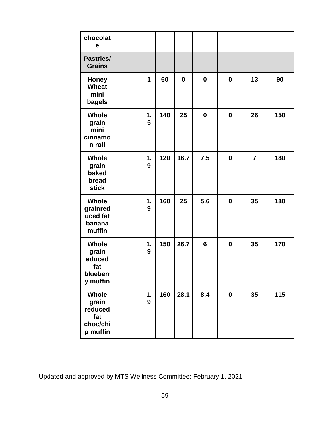| chocolat<br>е                                                   |         |     |             |              |             |                |     |
|-----------------------------------------------------------------|---------|-----|-------------|--------------|-------------|----------------|-----|
| <b>Pastries/</b><br><b>Grains</b>                               |         |     |             |              |             |                |     |
| <b>Honey</b><br>Wheat<br>mini<br>bagels                         | 1       | 60  | $\mathbf 0$ | $\mathbf{0}$ | 0           | 13             | 90  |
| <b>Whole</b><br>grain<br>mini<br>cinnamo<br>n roll              | 1.<br>5 | 140 | 25          | $\bf{0}$     | 0           | 26             | 150 |
| Whole<br>grain<br>baked<br>bread<br><b>stick</b>                | 1.<br>9 | 120 | 16.7        | 7.5          | $\mathbf 0$ | $\overline{7}$ | 180 |
| <b>Whole</b><br>grainred<br>uced fat<br>banana<br>muffin        | 1.<br>9 | 160 | 25          | 5.6          | $\bf{0}$    | 35             | 180 |
| <b>Whole</b><br>grain<br>educed<br>fat<br>blueberr<br>y muffin  | 1.<br>9 | 150 | 26.7        | 6            | 0           | 35             | 170 |
| <b>Whole</b><br>grain<br>reduced<br>fat<br>choc/chi<br>p muffin | 1.<br>9 | 160 | 28.1        | 8.4          | $\mathbf 0$ | 35             | 115 |

Updated and approved by MTS Wellness Committee: February 1, 2021